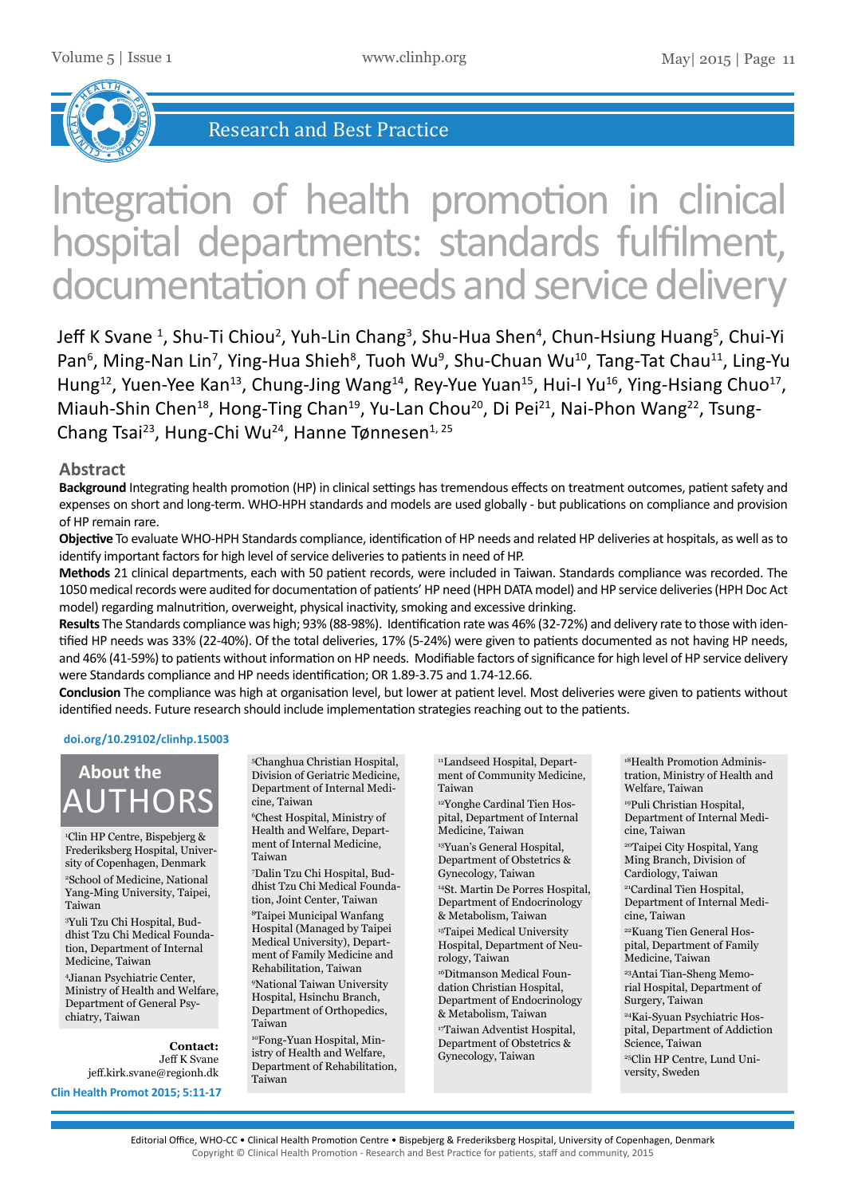

# Integration of health promotion in clinical hospital departments: standards fulfilment, documentation of needs and service delivery

Jeff K Svane <sup>1</sup>, Shu-Ti Chiou<sup>2</sup>, Yuh-Lin Chang<sup>3</sup>, Shu-Hua Shen<sup>4</sup>, Chun-Hsiung Huang<sup>5</sup>, Chui-Yi Pan<sup>6</sup>, Ming-Nan Lin<sup>7</sup>, Ying-Hua Shieh<sup>8</sup>, Tuoh Wu<sup>9</sup>, Shu-Chuan Wu<sup>10</sup>, Tang-Tat Chau<sup>11</sup>, Ling-Yu Hung<sup>12</sup>, Yuen-Yee Kan<sup>13</sup>, Chung-Jing Wang<sup>14</sup>, Rey-Yue Yuan<sup>15</sup>, Hui-I Yu<sup>16</sup>, Ying-Hsiang Chuo<sup>17</sup>, Miauh-Shin Chen<sup>18</sup>, Hong-Ting Chan<sup>19</sup>, Yu-Lan Chou<sup>20</sup>, Di Pei<sup>21</sup>, Nai-Phon Wang<sup>22</sup>, Tsung-Chang Tsai<sup>23</sup>, Hung-Chi Wu<sup>24</sup>, Hanne Tønnesen<sup>1, 25</sup>

#### **Abstract**

**Background** Integrating health promotion (HP) in clinical settings has tremendous effects on treatment outcomes, patient safety and expenses on short and long-term. WHO-HPH standards and models are used globally - but publications on compliance and provision of HP remain rare.

**Objective** To evaluate WHO-HPH Standards compliance, identification of HP needs and related HP deliveries at hospitals, as well as to identify important factors for high level of service deliveries to patients in need of HP.

**Methods** 21 clinical departments, each with 50 patient records, were included in Taiwan. Standards compliance was recorded. The 1050 medical records were audited for documentation of patients' HP need (HPH DATA model) and HP service deliveries (HPH Doc Act model) regarding malnutrition, overweight, physical inactivity, smoking and excessive drinking.

**Results** The Standards compliance was high; 93% (88-98%). Identification rate was 46% (32-72%) and delivery rate to those with identified HP needs was 33% (22-40%). Of the total deliveries, 17% (5-24%) were given to patients documented as not having HP needs, and 46% (41-59%) to patients without information on HP needs. Modifiable factors of significance for high level of HP service delivery were Standards compliance and HP needs identification; OR 1.89-3.75 and 1.74-12.66.

**Conclusion** The compliance was high at organisation level, but lower at patient level. Most deliveries were given to patients without identified needs. Future research should include implementation strategies reaching out to the patients.

#### **doi.org/10.29102/clinhp.15003**

# UTHORS **About the**

1 Clin HP Centre, Bispebjerg & Frederiksberg Hospital, University of Copenhagen, Denmark 2 School of Medicine, National Yang-Ming University, Taipei, Taiwan

3 Yuli Tzu Chi Hospital, Buddhist Tzu Chi Medical Foundation, Department of Internal Medicine, Taiwan

4 Jianan Psychiatric Center, Ministry of Health and Welfare, Department of General Psychiatry, Taiwan

> **Contact:** Jeff K Svane jeff.kirk.svane@regionh.dk

**Clin Health Promot 2015; 5:11-17**

5 Changhua Christian Hospital, Division of Geriatric Medicine, Department of Internal Medicine, Taiwan

6 Chest Hospital, Ministry of Health and Welfare, Department of Internal Medicine, Taiwan

7 Dalin Tzu Chi Hospital, Buddhist Tzu Chi Medical Foundation, Joint Center, Taiwan

<sup>8</sup>Taipei Municipal Wanfang Hospital (Managed by Taipei Medical University), Department of Family Medicine and Rehabilitation, Taiwan

9 National Taiwan University Hospital, Hsinchu Branch, Department of Orthopedics, Taiwan

10Fong-Yuan Hospital, Ministry of Health and Welfare, Department of Rehabilitation, Taiwan

11Landseed Hospital, Department of Community Medicine, Taiwan 12Yonghe Cardinal Tien Hospital, Department of Internal

Medicine, Taiwan <sup>13</sup>Yuan's General Hospital, Department of Obstetrics & Gynecology, Taiwan <sup>14</sup>St. Martin De Porres Hospital,

Department of Endocrinology & Metabolism, Taiwan

<sup>15</sup>Taipei Medical University Hospital, Department of Neurology, Taiwan

16Ditmanson Medical Foundation Christian Hospital, Department of Endocrinology & Metabolism, Taiwan <sup>17</sup>Taiwan Adventist Hospital,

Department of Obstetrics & Gynecology, Taiwan

18Health Promotion Administration, Ministry of Health and Welfare, Taiwan <sup>19</sup>Puli Christian Hospital, Department of Internal Medicine, Taiwan <sup>20</sup>Taipei City Hospital, Yang Ming Branch, Division of Cardiology, Taiwan <sup>21</sup>Cardinal Tien Hospital, Department of Internal Medicine, Taiwan 22Kuang Tien General Hospital, Department of Family Medicine, Taiwan 23Antai Tian-Sheng Memorial Hospital, Department of Surgery, Taiwan 24Kai-Syuan Psychiatric Hospital, Department of Addiction Science, Taiwan 25Clin HP Centre, Lund University, Sweden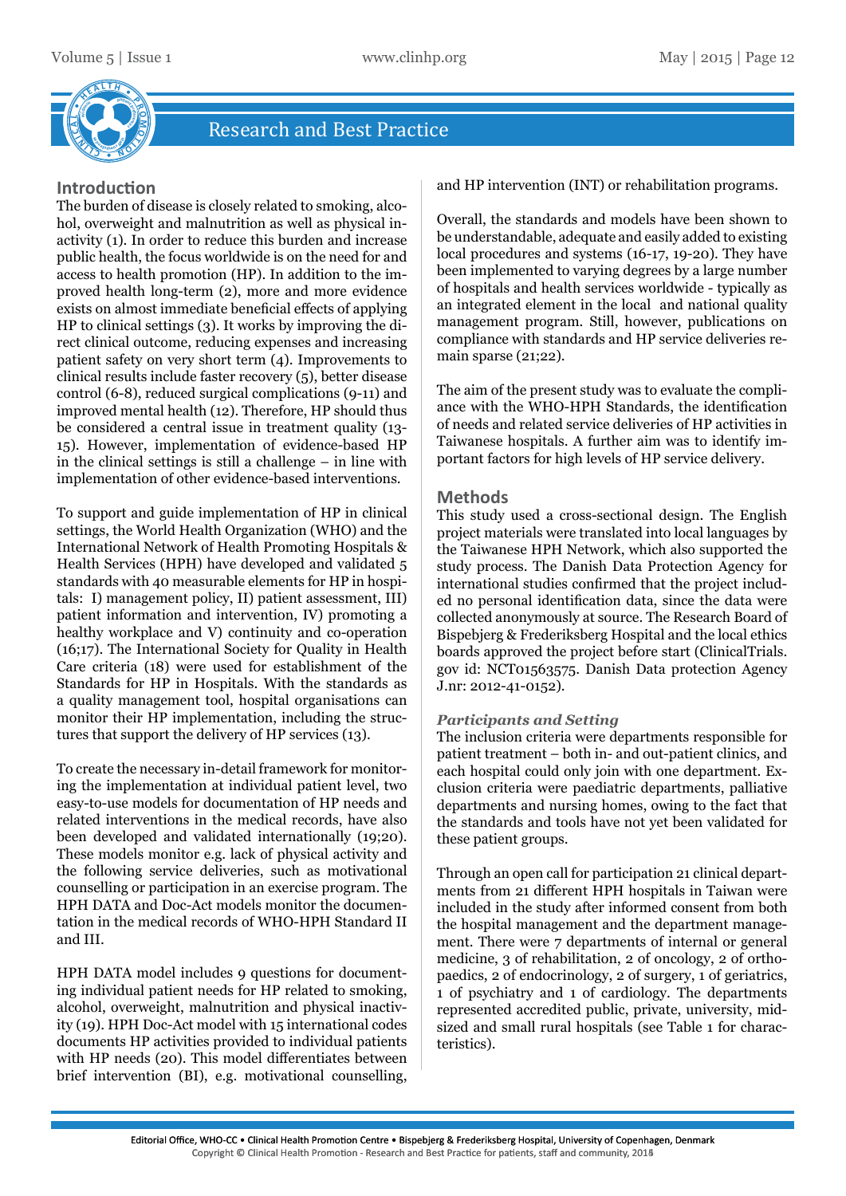

#### **Introduction**

We consider a more of the control in the control in the control in the control in the control in the control in the control in the control in the control in the control in the control in the control in the control in the The burden of disease is closely related to smoking, alcohol, overweight and malnutrition as well as physical inactivity (1). In order to reduce this burden and increase public health, the focus worldwide is on the need for and access to health promotion (HP). In addition to the improved health long-term (2), more and more evidence exists on almost immediate beneficial effects of applying HP to clinical settings (3). It works by improving the direct clinical outcome, reducing expenses and increasing patient safety on very short term (4). Improvements to clinical results include faster recovery (5), better disease control (6-8), reduced surgical complications (9-11) and improved mental health (12). Therefore, HP should thus be considered a central issue in treatment quality (13- 15). However, implementation of evidence-based HP in the clinical settings is still a challenge – in line with implementation of other evidence-based interventions.

To support and guide implementation of HP in clinical settings, the World Health Organization (WHO) and the International Network of Health Promoting Hospitals & Health Services (HPH) have developed and validated 5 standards with 40 measurable elements for HP in hospitals: I) management policy, II) patient assessment, III) patient information and intervention, IV) promoting a healthy workplace and V) continuity and co-operation (16;17). The International Society for Quality in Health Care criteria (18) were used for establishment of the Standards for HP in Hospitals. With the standards as a quality management tool, hospital organisations can monitor their HP implementation, including the structures that support the delivery of HP services (13).

To create the necessary in-detail framework for monitoring the implementation at individual patient level, two easy-to-use models for documentation of HP needs and related interventions in the medical records, have also been developed and validated internationally (19;20). These models monitor e.g. lack of physical activity and the following service deliveries, such as motivational counselling or participation in an exercise program. The HPH DATA and Doc-Act models monitor the documentation in the medical records of WHO-HPH Standard II and III.

HPH DATA model includes 9 questions for documenting individual patient needs for HP related to smoking, alcohol, overweight, malnutrition and physical inactivity (19). HPH Doc-Act model with 15 international codes documents HP activities provided to individual patients with HP needs (20). This model differentiates between brief intervention (BI), e.g. motivational counselling,

and HP intervention (INT) or rehabilitation programs.

Overall, the standards and models have been shown to be understandable, adequate and easily added to existing local procedures and systems (16-17, 19-20). They have been implemented to varying degrees by a large number of hospitals and health services worldwide - typically as an integrated element in the local and national quality management program. Still, however, publications on compliance with standards and HP service deliveries remain sparse (21;22).

The aim of the present study was to evaluate the compliance with the WHO-HPH Standards, the identification of needs and related service deliveries of HP activities in Taiwanese hospitals. A further aim was to identify important factors for high levels of HP service delivery.

#### **Methods**

This study used a cross-sectional design. The English project materials were translated into local languages by the Taiwanese HPH Network, which also supported the study process. The Danish Data Protection Agency for international studies confirmed that the project included no personal identification data, since the data were collected anonymously at source. The Research Board of Bispebjerg & Frederiksberg Hospital and the local ethics boards approved the project before start (ClinicalTrials. gov id: NCT01563575. Danish Data protection Agency J.nr: 2012-41-0152).

#### *Participants and Setting*

The inclusion criteria were departments responsible for patient treatment – both in- and out-patient clinics, and each hospital could only join with one department. Exclusion criteria were paediatric departments, palliative departments and nursing homes, owing to the fact that the standards and tools have not yet been validated for these patient groups.

Through an open call for participation 21 clinical departments from 21 different HPH hospitals in Taiwan were included in the study after informed consent from both the hospital management and the department management. There were 7 departments of internal or general medicine, 3 of rehabilitation, 2 of oncology, 2 of orthopaedics, 2 of endocrinology, 2 of surgery, 1 of geriatrics, 1 of psychiatry and 1 of cardiology. The departments represented accredited public, private, university, midsized and small rural hospitals (see Table 1 for characteristics).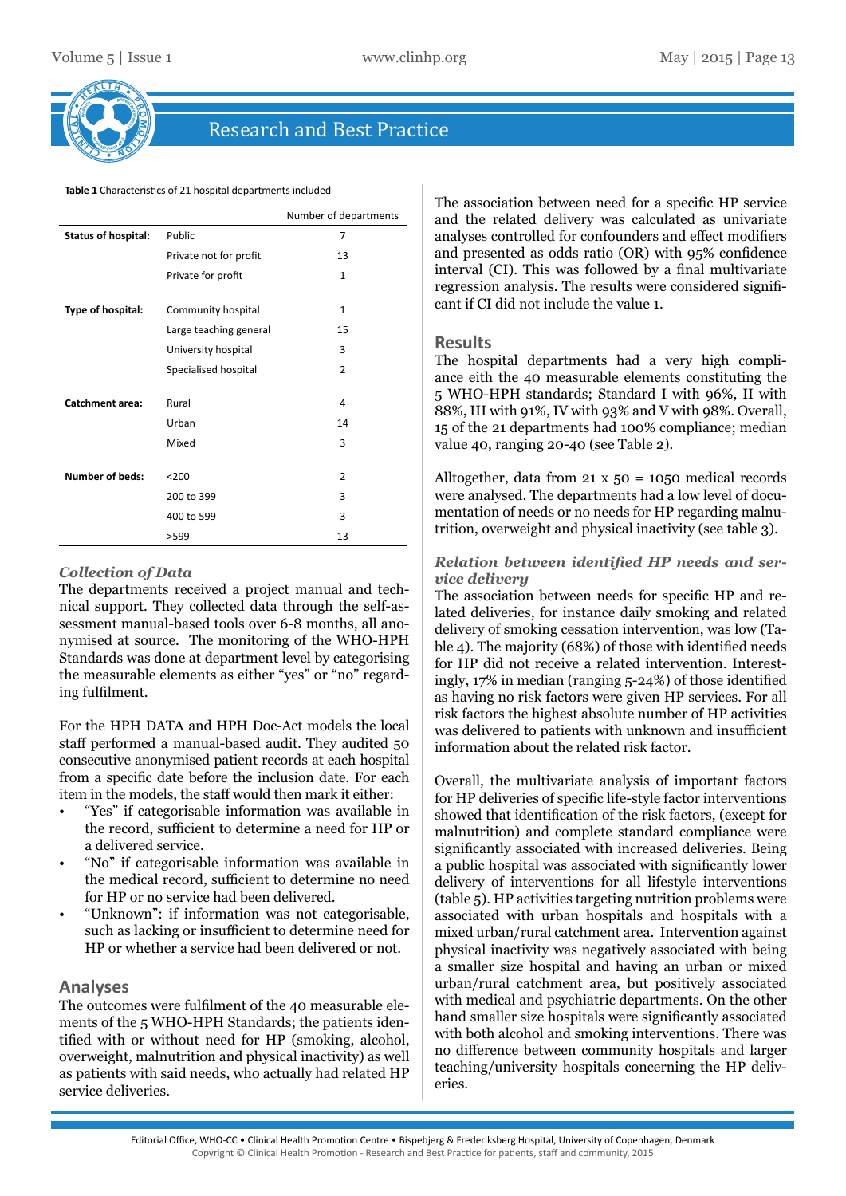

#### **Table 1** Characteristics of 21 hospital departments included

|                            |                        | Number of departments |
|----------------------------|------------------------|-----------------------|
| <b>Status of hospital:</b> | Public                 | $\overline{7}$        |
|                            | Private not for profit | 13                    |
|                            | Private for profit     | 1                     |
|                            |                        |                       |
| Type of hospital:          | Community hospital     | $\mathbf{1}$          |
|                            | Large teaching general | 15                    |
|                            | University hospital    | 3                     |
|                            | Specialised hospital   | $\overline{2}$        |
|                            |                        |                       |
| <b>Catchment area:</b>     | Rural                  | 4                     |
|                            | Urban                  | 14                    |
|                            | Mixed                  | 3                     |
|                            |                        |                       |
| <b>Number of beds:</b>     | $200$                  | 2                     |
|                            | 200 to 399             | 3                     |
|                            | 400 to 599             | 3                     |
|                            | >599                   | 13                    |

#### *Collection of Data*

The departments received a project manual and technical support. They collected data through the self-assessment manual-based tools over 6-8 months, all anonymised at source. The monitoring of the WHO-HPH Standards was done at department level by categorising the measurable elements as either "yes" or "no" regarding fulfilment.

For the HPH DATA and HPH Doc-Act models the local staff performed a manual-based audit. They audited 50 consecutive anonymised patient records at each hospital from a specific date before the inclusion date. For each item in the models, the staff would then mark it either:

- "Yes" if categorisable information was available in the record, sufficient to determine a need for HP or a delivered service.
- "No" if categorisable information was available in the medical record, sufficient to determine no need for HP or no service had been delivered.
- "Unknown": if information was not categorisable, such as lacking or insufficient to determine need for HP or whether a service had been delivered or not.

#### **Analyses**

The outcomes were fulfilment of the 40 measurable elements of the 5 WHO-HPH Standards; the patients identified with or without need for HP (smoking, alcohol, overweight, malnutrition and physical inactivity) as well as patients with said needs, who actually had related HP service deliveries.

The association between need for a specific HP service and the related delivery was calculated as univariate analyses controlled for confounders and effect modifiers and presented as odds ratio (OR) with 95% confidence interval (CI). This was followed by a final multivariate regression analysis. The results were considered significant if CI did not include the value 1.

#### **Results**

The hospital departments had a very high compliance eith the 40 measurable elements constituting the 5 WHO-HPH standards; Standard I with 96%, II with 88%, III with 91%, IV with 93% and V with 98%. Overall, 15 of the 21 departments had 100% compliance; median value 40, ranging 20-40 (see Table 2).

Alltogether, data from  $21 \times 50 = 1050$  medical records were analysed. The departments had a low level of documentation of needs or no needs for HP regarding malnutrition, overweight and physical inactivity (see table 3).

#### *Relation between identified HP needs and service delivery*

The association between needs for specific HP and related deliveries, for instance daily smoking and related delivery of smoking cessation intervention, was low (Table 4). The majority (68%) of those with identified needs for HP did not receive a related intervention. Interestingly, 17% in median (ranging 5-24%) of those identified as having no risk factors were given HP services. For all risk factors the highest absolute number of HP activities was delivered to patients with unknown and insufficient information about the related risk factor.

Overall, the multivariate analysis of important factors for HP deliveries of specific life-style factor interventions showed that identification of the risk factors, (except for malnutrition) and complete standard compliance were significantly associated with increased deliveries. Being a public hospital was associated with significantly lower delivery of interventions for all lifestyle interventions (table 5). HP activities targeting nutrition problems were associated with urban hospitals and hospitals with a mixed urban/rural catchment area. Intervention against physical inactivity was negatively associated with being a smaller size hospital and having an urban or mixed urban/rural catchment area, but positively associated with medical and psychiatric departments. On the other hand smaller size hospitals were significantly associated with both alcohol and smoking interventions. There was no difference between community hospitals and larger teaching/university hospitals concerning the HP deliveries.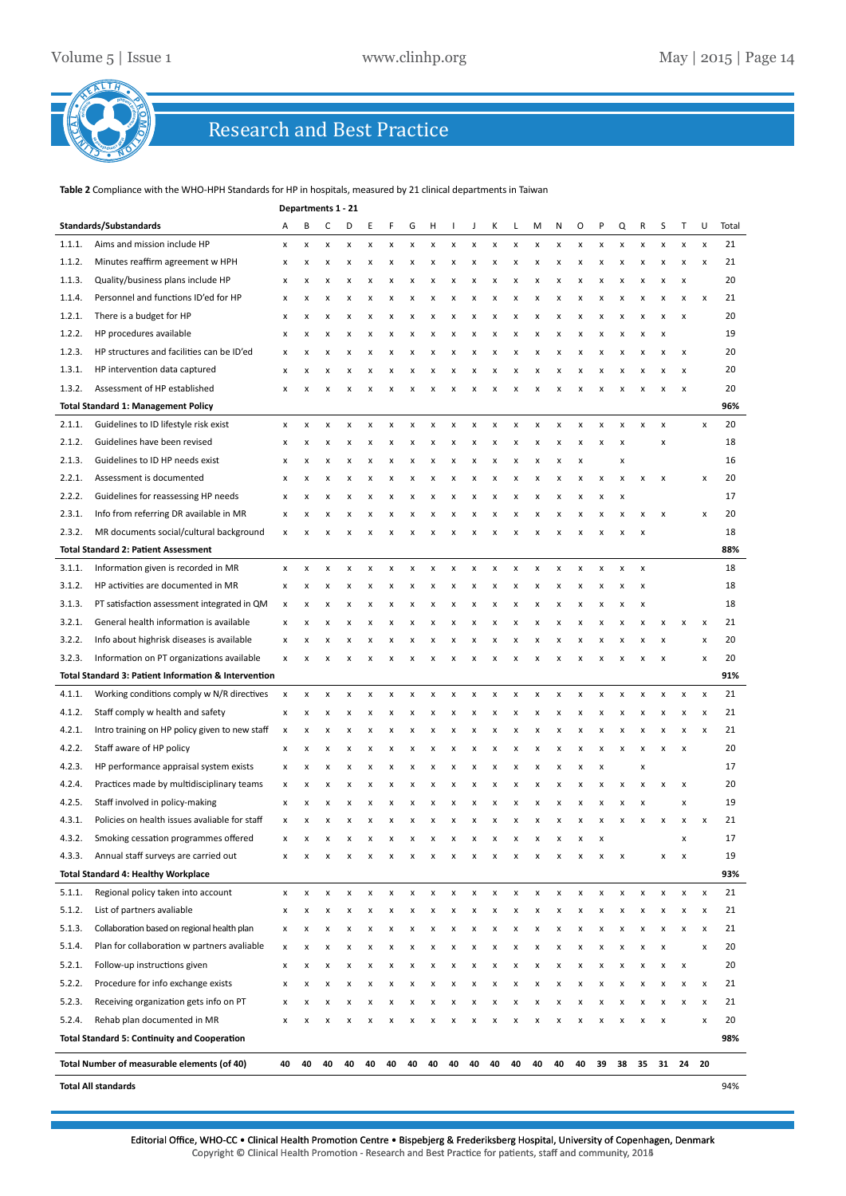

#### **Table 2** Compliance with the WHO-HPH Standards for HP in hospitals, measured by 21 clinical departments in Taiwan

| <b>Research and Best Practice</b><br>Departments 1 - 21<br>Α<br>В<br>С<br>н<br>κ<br>M<br>N<br>O<br>P<br>Q<br>R<br>S<br>т<br>U<br>Total<br>D<br>Ε<br>F<br>G<br>L<br>J<br>Aims and mission include HP<br>21<br>x<br>x<br>x<br>X<br>x<br>X<br>X<br>x<br>x<br>x<br>x<br>x<br>х<br>x<br>x<br>x<br>x<br>x<br>x<br>x<br>x<br>Minutes reaffirm agreement w HPH<br>21<br>x<br>X<br>X<br>x<br>x<br>x<br>x<br>х<br>x<br>x<br>x<br>x<br>х<br>x<br>x<br>x<br>x<br>x<br>x<br>x<br>x<br>Quality/business plans include HP<br>20<br>x<br>X<br>х<br>x<br>X<br>x<br>x<br>x<br>x<br>x<br>x<br>x<br>X<br>x<br>x<br>X<br>x<br>x<br>Personnel and functions ID'ed for HP<br>21<br>x<br>X<br>x<br>x<br>x<br>X<br>x<br>x<br>X<br>x<br>X<br>x<br>x<br>x<br>x<br>x<br>X<br>There is a budget for HP<br>20<br>x<br>x<br>x<br>x<br>x<br>X<br>x<br>X<br>x<br>x<br>x<br>x<br>x<br>X<br>X<br>x<br>X<br>x<br>HP procedures available<br>19<br>X<br>X<br>x<br>X<br>X<br>x<br>x<br>X<br>X<br>X<br>x<br>X<br>X<br>X<br>x<br>x<br>HP structures and facilities can be ID'ed<br>20<br>X<br>X<br>X<br>X<br>x<br>x<br>x<br>x<br>x<br>x<br>x<br>x<br>x<br>X<br>x<br>x<br>20<br>HP intervention data captured<br>x<br>X<br>X<br>x<br>x<br>x<br>x<br>X<br>x<br>X<br>x<br>x<br>x<br>х<br>Assessment of HP established<br>20<br>x<br>x<br>x<br>x<br>x<br>x<br>x<br>x<br>x<br>x<br>x<br>x<br>x<br>x<br>x<br>x<br>x<br>x<br>x<br>x<br>96%<br>Guidelines to ID lifestyle risk exist<br>20<br>x<br>x<br>x<br>x<br>x<br>x<br>x<br>x<br>x<br>x<br>x<br>x<br>x<br>x<br>x<br>x<br>x<br>x<br>x<br>x<br>Guidelines have been revised<br>18<br>x<br>x<br>X<br>x<br>x<br>x<br>x<br>x<br>x<br>x<br>x<br>x<br>X<br>x<br>x<br>x<br>x<br>Guidelines to ID HP needs exist<br>16<br>X<br>x<br>X<br>x<br>x<br>X<br>x<br>x<br>x<br>X<br>x<br>X<br>x<br>x<br>x<br>Assessment is documented<br>20<br>X<br>x<br>x<br>X<br>X<br>x<br>X<br>X<br>X<br>x<br>x<br>x<br>x<br>x<br>x<br>x<br>Guidelines for reassessing HP needs<br>17<br>x<br>X<br>X<br>X<br>x<br>X<br>x<br>X<br>x<br>x<br>x<br>x<br>x<br>x<br>Info from referring DR available in MR<br>20<br>x<br>x<br>X<br>x<br>x<br>x<br>X<br>x<br>x<br>x<br>x<br>x<br>MR documents social/cultural background<br>18<br>x<br>x<br>x<br>x<br>X<br>x<br>X<br>x<br>х<br>x<br>х<br>х<br>x<br>x<br>88%<br>Information given is recorded in MR<br>18<br>x<br>x<br>x<br>x<br>x<br>X<br>X<br>x<br>x<br>x<br>x<br>X<br>X<br>x<br>x<br>х<br>x<br>x<br>HP activities are documented in MR<br>18<br>x<br>х<br>x<br>х<br>x<br>X<br>X<br>x<br>x<br>x<br>x<br>x<br>х<br>x<br>x<br>x<br>x<br>x<br>18<br>PT satisfaction assessment integrated in QM<br>х<br>x<br>х<br>X<br>x<br>X<br>x<br>X<br>x<br>x<br>x<br>x<br>x<br>X<br>x<br>x<br>X<br>General health information is available<br>21<br>x<br>X<br>x<br>x<br>X<br>x<br>x<br>X<br>x<br>x<br>X<br>x<br>x<br>x<br>x<br>x<br>x<br>x<br>X<br>x<br>Info about highrisk diseases is available<br>20<br>x<br>X<br>x<br>x<br>x<br>x<br>X<br>x<br>x<br>x<br>Information on PT organizations available<br>20<br>x<br>x<br>x<br>x<br>x<br>x<br>x<br>x<br>x<br>x<br>x<br>x<br>X<br>x<br>x<br>x<br>91%<br>Working conditions comply w N/R directives<br>21<br>x<br>x<br>x<br>x<br>x<br>x<br>x<br>x<br>x<br>x<br>x<br>x<br>x<br>x<br>x<br>x<br>x<br>x<br>x<br>Staff comply w health and safety<br>21<br>x<br>x<br>x<br>x<br>X<br>x<br>x<br>x<br>x<br>x<br>x<br>x<br>x<br>x<br>x<br>x<br>x<br>x<br>x<br>х<br>Intro training on HP policy given to new staff<br>21<br>x<br>x<br>x<br>X<br>x<br>x<br>x<br>x<br>х<br>x<br>x<br>х<br>x<br>x<br>X<br>x<br>X<br>х<br>x<br>x<br>x<br>Staff aware of HP policy<br>20<br>x<br>x<br>х<br>x<br>x<br>x<br>x<br>x<br>x<br>x<br>x<br>x<br>х<br>x<br>x<br>x<br>x<br>x<br>x<br>x<br>HP performance appraisal system exists<br>17<br>x<br>x<br>x<br>x<br>x<br>х<br>x<br>X<br>x<br>x<br>x<br>x<br>x<br>x<br>x<br>x<br>x<br>Practices made by multidisciplinary teams<br>20<br>X<br>X<br>x<br>x<br>x<br>x<br>x<br>x<br>х<br>x<br>x<br>x<br>x<br>x<br>x<br>x<br>x<br>X<br>x<br>19<br>Staff involved in policy-making<br>x<br>x<br>X<br>X<br>X<br>x<br>X<br>X<br>X<br>X<br>X<br>x<br>X<br>x<br>X<br>x<br>x<br>Policies on health issues avaliable for staff<br>$\boldsymbol{\mathsf{x}}$<br>21<br>X<br>X<br>X<br>x<br>X<br>x<br>x<br>x<br>X<br>X<br>X<br>X<br>X<br>x<br>X<br>X<br>x<br>x<br>x<br>x<br>Smoking cessation programmes offered<br>17<br>X<br>x<br>x<br>X<br>x<br>X<br>x<br>x<br>x<br>x<br>x<br>x<br>x<br>x<br>x<br>x<br>Annual staff surveys are carried out<br>19<br>X<br>x<br>x<br>x<br>x<br>x<br>x<br>x<br>x<br>x<br>x<br>x<br>x<br>x<br>x<br>x<br>x<br>x<br>x<br>93%<br>Regional policy taken into account<br>21<br>x<br>x<br>X<br>x<br>X<br>x<br>x<br>x<br>x<br>x<br>X<br>x<br>x<br>x<br>x<br>x<br>x<br>x<br>x<br>х<br>x<br>List of partners avaliable<br>21<br>x<br>x<br>х<br>x<br>X<br>x<br>x<br>x<br>x<br>x<br>х<br>x<br>x<br>x<br>x<br>x<br>x<br>x<br>x<br>x<br>x<br>Collaboration based on regional health plan<br>21<br>x<br>X<br>x<br>x<br>X<br>x<br>x<br>x<br>X<br>x<br>X<br>x<br>x<br>x<br>X<br>x<br>X<br>x<br>x<br>x<br>x<br>Plan for collaboration w partners avaliable<br>20<br>x<br>x<br>X<br>X<br>X<br>X<br>X<br>X<br>X<br>X<br>X<br>x<br>x<br>x<br>X<br>x<br>X<br>x<br>x<br>Follow-up instructions given<br>20<br>X<br>X<br>X<br>X<br>x<br>x<br>X<br>X<br>x<br>x<br>X<br>X<br>x<br>X<br>X<br>x<br>X<br>x<br>x<br>x<br>Procedure for info exchange exists<br>21<br>x<br>x<br>X<br>X<br>x<br>x<br>x<br>x<br>x<br>x<br>x<br>x<br>x<br>x<br>x<br>x<br>x<br>x<br>x<br>x<br>х<br>Receiving organization gets info on PT<br>21<br>x<br>X<br>X<br>x<br>X<br>x<br>x<br>X<br>x<br>x<br>X<br>x<br>x<br>x<br>x<br>x<br>x<br>x<br>x<br>x<br>x<br>Rehab plan documented in MR<br>20<br>x<br>x<br>x<br>x<br>x<br>X<br>X<br>x<br>X<br>x<br>x<br>X<br>x<br>x<br>x<br>х<br>x<br>x<br>x<br>x<br>98%<br>40<br>40<br>40<br>40<br>40<br>40<br>40<br>40<br>40<br>40<br>40<br>40<br>40<br>40<br>40<br>39<br>38<br>35<br>31 24<br>- 20<br>94% |        |  |  |  |  |  |  |  |  |  |  |  |  |
|--------------------------------------------------------------------------------------------------------------------------------------------------------------------------------------------------------------------------------------------------------------------------------------------------------------------------------------------------------------------------------------------------------------------------------------------------------------------------------------------------------------------------------------------------------------------------------------------------------------------------------------------------------------------------------------------------------------------------------------------------------------------------------------------------------------------------------------------------------------------------------------------------------------------------------------------------------------------------------------------------------------------------------------------------------------------------------------------------------------------------------------------------------------------------------------------------------------------------------------------------------------------------------------------------------------------------------------------------------------------------------------------------------------------------------------------------------------------------------------------------------------------------------------------------------------------------------------------------------------------------------------------------------------------------------------------------------------------------------------------------------------------------------------------------------------------------------------------------------------------------------------------------------------------------------------------------------------------------------------------------------------------------------------------------------------------------------------------------------------------------------------------------------------------------------------------------------------------------------------------------------------------------------------------------------------------------------------------------------------------------------------------------------------------------------------------------------------------------------------------------------------------------------------------------------------------------------------------------------------------------------------------------------------------------------------------------------------------------------------------------------------------------------------------------------------------------------------------------------------------------------------------------------------------------------------------------------------------------------------------------------------------------------------------------------------------------------------------------------------------------------------------------------------------------------------------------------------------------------------------------------------------------------------------------------------------------------------------------------------------------------------------------------------------------------------------------------------------------------------------------------------------------------------------------------------------------------------------------------------------------------------------------------------------------------------------------------------------------------------------------------------------------------------------------------------------------------------------------------------------------------------------------------------------------------------------------------------------------------------------------------------------------------------------------------------------------------------------------------------------------------------------------------------------------------------------------------------------------------------------------------------------------------------------------------------------------------------------------------------------------------------------------------------------------------------------------------------------------------------------------------------------------------------------------------------------------------------------------------------------------------------------------------------------------------------------------------------------------------------------------------------------------------------------------------------------------------------------------------------------------------------------------------------------------------------------------------------------------------------------------------------------------------------------------------------------------------------------------------------------------------------------------------------------------------------------------------------------------------------------------------------------------------------------------------------------------------------------------------------------------------------------------------------------------------------------------------------------------------------------------------------------------------------------------------------------------------------------------------------------------------------------------------------------------------------------------------------------------------------------------------------------------------------------------------------------------------------------------------------------------------------------------------------------------------------------------------------------------------|--------|--|--|--|--|--|--|--|--|--|--|--|--|
| Table 2 Compliance with the WHO-HPH Standards for HP in hospitals, measured by 21 clinical departments in Taiwan<br>Standards/Substandards<br>1.1.3.<br>1.1.4.<br>1.2.1.<br>1.2.2.<br>1.2.3.<br>1.3.1.<br>1.3.2.<br><b>Total Standard 1: Management Policy</b><br>2.1.1.<br>2.1.3.<br><b>Total Standard 2: Patient Assessment</b><br>Total Standard 3: Patient Information & Intervention<br><b>Total Standard 4: Healthy Workplace</b><br>5.2.2.<br>5.2.4.<br><b>Total Standard 5: Continuity and Cooperation</b><br>Total Number of measurable elements (of 40)<br><b>Total All standards</b>                                                                                                                                                                                                                                                                                                                                                                                                                                                                                                                                                                                                                                                                                                                                                                                                                                                                                                                                                                                                                                                                                                                                                                                                                                                                                                                                                                                                                                                                                                                                                                                                                                                                                                                                                                                                                                                                                                                                                                                                                                                                                                                                                                                                                                                                                                                                                                                                                                                                                                                                                                                                                                                                                                                                                                                                                                                                                                                                                                                                                                                                                                                                                                                                                                                                                                                                                                                                                                                                                                                                                                                                                                                                                                                                                                                                                                                                                                                                                                                                                                                                                                                                                                                                                                                                                                                                                                                                                                                                                                                                                                                                                                                                                                                                                                                                                                                                                                                                                                                                                                                                                                                                                                                                                                                                                                                                                                                |        |  |  |  |  |  |  |  |  |  |  |  |  |
|                                                                                                                                                                                                                                                                                                                                                                                                                                                                                                                                                                                                                                                                                                                                                                                                                                                                                                                                                                                                                                                                                                                                                                                                                                                                                                                                                                                                                                                                                                                                                                                                                                                                                                                                                                                                                                                                                                                                                                                                                                                                                                                                                                                                                                                                                                                                                                                                                                                                                                                                                                                                                                                                                                                                                                                                                                                                                                                                                                                                                                                                                                                                                                                                                                                                                                                                                                                                                                                                                                                                                                                                                                                                                                                                                                                                                                                                                                                                                                                                                                                                                                                                                                                                                                                                                                                                                                                                                                                                                                                                                                                                                                                                                                                                                                                                                                                                                                                                                                                                                                                                                                                                                                                                                                                                                                                                                                                                                                                                                                                                                                                                                                                                                                                                                                                                                                                                                                                                                                                |        |  |  |  |  |  |  |  |  |  |  |  |  |
|                                                                                                                                                                                                                                                                                                                                                                                                                                                                                                                                                                                                                                                                                                                                                                                                                                                                                                                                                                                                                                                                                                                                                                                                                                                                                                                                                                                                                                                                                                                                                                                                                                                                                                                                                                                                                                                                                                                                                                                                                                                                                                                                                                                                                                                                                                                                                                                                                                                                                                                                                                                                                                                                                                                                                                                                                                                                                                                                                                                                                                                                                                                                                                                                                                                                                                                                                                                                                                                                                                                                                                                                                                                                                                                                                                                                                                                                                                                                                                                                                                                                                                                                                                                                                                                                                                                                                                                                                                                                                                                                                                                                                                                                                                                                                                                                                                                                                                                                                                                                                                                                                                                                                                                                                                                                                                                                                                                                                                                                                                                                                                                                                                                                                                                                                                                                                                                                                                                                                                                |        |  |  |  |  |  |  |  |  |  |  |  |  |
|                                                                                                                                                                                                                                                                                                                                                                                                                                                                                                                                                                                                                                                                                                                                                                                                                                                                                                                                                                                                                                                                                                                                                                                                                                                                                                                                                                                                                                                                                                                                                                                                                                                                                                                                                                                                                                                                                                                                                                                                                                                                                                                                                                                                                                                                                                                                                                                                                                                                                                                                                                                                                                                                                                                                                                                                                                                                                                                                                                                                                                                                                                                                                                                                                                                                                                                                                                                                                                                                                                                                                                                                                                                                                                                                                                                                                                                                                                                                                                                                                                                                                                                                                                                                                                                                                                                                                                                                                                                                                                                                                                                                                                                                                                                                                                                                                                                                                                                                                                                                                                                                                                                                                                                                                                                                                                                                                                                                                                                                                                                                                                                                                                                                                                                                                                                                                                                                                                                                                                                |        |  |  |  |  |  |  |  |  |  |  |  |  |
|                                                                                                                                                                                                                                                                                                                                                                                                                                                                                                                                                                                                                                                                                                                                                                                                                                                                                                                                                                                                                                                                                                                                                                                                                                                                                                                                                                                                                                                                                                                                                                                                                                                                                                                                                                                                                                                                                                                                                                                                                                                                                                                                                                                                                                                                                                                                                                                                                                                                                                                                                                                                                                                                                                                                                                                                                                                                                                                                                                                                                                                                                                                                                                                                                                                                                                                                                                                                                                                                                                                                                                                                                                                                                                                                                                                                                                                                                                                                                                                                                                                                                                                                                                                                                                                                                                                                                                                                                                                                                                                                                                                                                                                                                                                                                                                                                                                                                                                                                                                                                                                                                                                                                                                                                                                                                                                                                                                                                                                                                                                                                                                                                                                                                                                                                                                                                                                                                                                                                                                |        |  |  |  |  |  |  |  |  |  |  |  |  |
|                                                                                                                                                                                                                                                                                                                                                                                                                                                                                                                                                                                                                                                                                                                                                                                                                                                                                                                                                                                                                                                                                                                                                                                                                                                                                                                                                                                                                                                                                                                                                                                                                                                                                                                                                                                                                                                                                                                                                                                                                                                                                                                                                                                                                                                                                                                                                                                                                                                                                                                                                                                                                                                                                                                                                                                                                                                                                                                                                                                                                                                                                                                                                                                                                                                                                                                                                                                                                                                                                                                                                                                                                                                                                                                                                                                                                                                                                                                                                                                                                                                                                                                                                                                                                                                                                                                                                                                                                                                                                                                                                                                                                                                                                                                                                                                                                                                                                                                                                                                                                                                                                                                                                                                                                                                                                                                                                                                                                                                                                                                                                                                                                                                                                                                                                                                                                                                                                                                                                                                | 1.1.1. |  |  |  |  |  |  |  |  |  |  |  |  |
|                                                                                                                                                                                                                                                                                                                                                                                                                                                                                                                                                                                                                                                                                                                                                                                                                                                                                                                                                                                                                                                                                                                                                                                                                                                                                                                                                                                                                                                                                                                                                                                                                                                                                                                                                                                                                                                                                                                                                                                                                                                                                                                                                                                                                                                                                                                                                                                                                                                                                                                                                                                                                                                                                                                                                                                                                                                                                                                                                                                                                                                                                                                                                                                                                                                                                                                                                                                                                                                                                                                                                                                                                                                                                                                                                                                                                                                                                                                                                                                                                                                                                                                                                                                                                                                                                                                                                                                                                                                                                                                                                                                                                                                                                                                                                                                                                                                                                                                                                                                                                                                                                                                                                                                                                                                                                                                                                                                                                                                                                                                                                                                                                                                                                                                                                                                                                                                                                                                                                                                | 1.1.2. |  |  |  |  |  |  |  |  |  |  |  |  |
|                                                                                                                                                                                                                                                                                                                                                                                                                                                                                                                                                                                                                                                                                                                                                                                                                                                                                                                                                                                                                                                                                                                                                                                                                                                                                                                                                                                                                                                                                                                                                                                                                                                                                                                                                                                                                                                                                                                                                                                                                                                                                                                                                                                                                                                                                                                                                                                                                                                                                                                                                                                                                                                                                                                                                                                                                                                                                                                                                                                                                                                                                                                                                                                                                                                                                                                                                                                                                                                                                                                                                                                                                                                                                                                                                                                                                                                                                                                                                                                                                                                                                                                                                                                                                                                                                                                                                                                                                                                                                                                                                                                                                                                                                                                                                                                                                                                                                                                                                                                                                                                                                                                                                                                                                                                                                                                                                                                                                                                                                                                                                                                                                                                                                                                                                                                                                                                                                                                                                                                |        |  |  |  |  |  |  |  |  |  |  |  |  |
|                                                                                                                                                                                                                                                                                                                                                                                                                                                                                                                                                                                                                                                                                                                                                                                                                                                                                                                                                                                                                                                                                                                                                                                                                                                                                                                                                                                                                                                                                                                                                                                                                                                                                                                                                                                                                                                                                                                                                                                                                                                                                                                                                                                                                                                                                                                                                                                                                                                                                                                                                                                                                                                                                                                                                                                                                                                                                                                                                                                                                                                                                                                                                                                                                                                                                                                                                                                                                                                                                                                                                                                                                                                                                                                                                                                                                                                                                                                                                                                                                                                                                                                                                                                                                                                                                                                                                                                                                                                                                                                                                                                                                                                                                                                                                                                                                                                                                                                                                                                                                                                                                                                                                                                                                                                                                                                                                                                                                                                                                                                                                                                                                                                                                                                                                                                                                                                                                                                                                                                |        |  |  |  |  |  |  |  |  |  |  |  |  |
|                                                                                                                                                                                                                                                                                                                                                                                                                                                                                                                                                                                                                                                                                                                                                                                                                                                                                                                                                                                                                                                                                                                                                                                                                                                                                                                                                                                                                                                                                                                                                                                                                                                                                                                                                                                                                                                                                                                                                                                                                                                                                                                                                                                                                                                                                                                                                                                                                                                                                                                                                                                                                                                                                                                                                                                                                                                                                                                                                                                                                                                                                                                                                                                                                                                                                                                                                                                                                                                                                                                                                                                                                                                                                                                                                                                                                                                                                                                                                                                                                                                                                                                                                                                                                                                                                                                                                                                                                                                                                                                                                                                                                                                                                                                                                                                                                                                                                                                                                                                                                                                                                                                                                                                                                                                                                                                                                                                                                                                                                                                                                                                                                                                                                                                                                                                                                                                                                                                                                                                |        |  |  |  |  |  |  |  |  |  |  |  |  |
|                                                                                                                                                                                                                                                                                                                                                                                                                                                                                                                                                                                                                                                                                                                                                                                                                                                                                                                                                                                                                                                                                                                                                                                                                                                                                                                                                                                                                                                                                                                                                                                                                                                                                                                                                                                                                                                                                                                                                                                                                                                                                                                                                                                                                                                                                                                                                                                                                                                                                                                                                                                                                                                                                                                                                                                                                                                                                                                                                                                                                                                                                                                                                                                                                                                                                                                                                                                                                                                                                                                                                                                                                                                                                                                                                                                                                                                                                                                                                                                                                                                                                                                                                                                                                                                                                                                                                                                                                                                                                                                                                                                                                                                                                                                                                                                                                                                                                                                                                                                                                                                                                                                                                                                                                                                                                                                                                                                                                                                                                                                                                                                                                                                                                                                                                                                                                                                                                                                                                                                |        |  |  |  |  |  |  |  |  |  |  |  |  |
|                                                                                                                                                                                                                                                                                                                                                                                                                                                                                                                                                                                                                                                                                                                                                                                                                                                                                                                                                                                                                                                                                                                                                                                                                                                                                                                                                                                                                                                                                                                                                                                                                                                                                                                                                                                                                                                                                                                                                                                                                                                                                                                                                                                                                                                                                                                                                                                                                                                                                                                                                                                                                                                                                                                                                                                                                                                                                                                                                                                                                                                                                                                                                                                                                                                                                                                                                                                                                                                                                                                                                                                                                                                                                                                                                                                                                                                                                                                                                                                                                                                                                                                                                                                                                                                                                                                                                                                                                                                                                                                                                                                                                                                                                                                                                                                                                                                                                                                                                                                                                                                                                                                                                                                                                                                                                                                                                                                                                                                                                                                                                                                                                                                                                                                                                                                                                                                                                                                                                                                |        |  |  |  |  |  |  |  |  |  |  |  |  |
|                                                                                                                                                                                                                                                                                                                                                                                                                                                                                                                                                                                                                                                                                                                                                                                                                                                                                                                                                                                                                                                                                                                                                                                                                                                                                                                                                                                                                                                                                                                                                                                                                                                                                                                                                                                                                                                                                                                                                                                                                                                                                                                                                                                                                                                                                                                                                                                                                                                                                                                                                                                                                                                                                                                                                                                                                                                                                                                                                                                                                                                                                                                                                                                                                                                                                                                                                                                                                                                                                                                                                                                                                                                                                                                                                                                                                                                                                                                                                                                                                                                                                                                                                                                                                                                                                                                                                                                                                                                                                                                                                                                                                                                                                                                                                                                                                                                                                                                                                                                                                                                                                                                                                                                                                                                                                                                                                                                                                                                                                                                                                                                                                                                                                                                                                                                                                                                                                                                                                                                |        |  |  |  |  |  |  |  |  |  |  |  |  |
|                                                                                                                                                                                                                                                                                                                                                                                                                                                                                                                                                                                                                                                                                                                                                                                                                                                                                                                                                                                                                                                                                                                                                                                                                                                                                                                                                                                                                                                                                                                                                                                                                                                                                                                                                                                                                                                                                                                                                                                                                                                                                                                                                                                                                                                                                                                                                                                                                                                                                                                                                                                                                                                                                                                                                                                                                                                                                                                                                                                                                                                                                                                                                                                                                                                                                                                                                                                                                                                                                                                                                                                                                                                                                                                                                                                                                                                                                                                                                                                                                                                                                                                                                                                                                                                                                                                                                                                                                                                                                                                                                                                                                                                                                                                                                                                                                                                                                                                                                                                                                                                                                                                                                                                                                                                                                                                                                                                                                                                                                                                                                                                                                                                                                                                                                                                                                                                                                                                                                                                |        |  |  |  |  |  |  |  |  |  |  |  |  |
|                                                                                                                                                                                                                                                                                                                                                                                                                                                                                                                                                                                                                                                                                                                                                                                                                                                                                                                                                                                                                                                                                                                                                                                                                                                                                                                                                                                                                                                                                                                                                                                                                                                                                                                                                                                                                                                                                                                                                                                                                                                                                                                                                                                                                                                                                                                                                                                                                                                                                                                                                                                                                                                                                                                                                                                                                                                                                                                                                                                                                                                                                                                                                                                                                                                                                                                                                                                                                                                                                                                                                                                                                                                                                                                                                                                                                                                                                                                                                                                                                                                                                                                                                                                                                                                                                                                                                                                                                                                                                                                                                                                                                                                                                                                                                                                                                                                                                                                                                                                                                                                                                                                                                                                                                                                                                                                                                                                                                                                                                                                                                                                                                                                                                                                                                                                                                                                                                                                                                                                |        |  |  |  |  |  |  |  |  |  |  |  |  |
|                                                                                                                                                                                                                                                                                                                                                                                                                                                                                                                                                                                                                                                                                                                                                                                                                                                                                                                                                                                                                                                                                                                                                                                                                                                                                                                                                                                                                                                                                                                                                                                                                                                                                                                                                                                                                                                                                                                                                                                                                                                                                                                                                                                                                                                                                                                                                                                                                                                                                                                                                                                                                                                                                                                                                                                                                                                                                                                                                                                                                                                                                                                                                                                                                                                                                                                                                                                                                                                                                                                                                                                                                                                                                                                                                                                                                                                                                                                                                                                                                                                                                                                                                                                                                                                                                                                                                                                                                                                                                                                                                                                                                                                                                                                                                                                                                                                                                                                                                                                                                                                                                                                                                                                                                                                                                                                                                                                                                                                                                                                                                                                                                                                                                                                                                                                                                                                                                                                                                                                | 2.1.2. |  |  |  |  |  |  |  |  |  |  |  |  |
|                                                                                                                                                                                                                                                                                                                                                                                                                                                                                                                                                                                                                                                                                                                                                                                                                                                                                                                                                                                                                                                                                                                                                                                                                                                                                                                                                                                                                                                                                                                                                                                                                                                                                                                                                                                                                                                                                                                                                                                                                                                                                                                                                                                                                                                                                                                                                                                                                                                                                                                                                                                                                                                                                                                                                                                                                                                                                                                                                                                                                                                                                                                                                                                                                                                                                                                                                                                                                                                                                                                                                                                                                                                                                                                                                                                                                                                                                                                                                                                                                                                                                                                                                                                                                                                                                                                                                                                                                                                                                                                                                                                                                                                                                                                                                                                                                                                                                                                                                                                                                                                                                                                                                                                                                                                                                                                                                                                                                                                                                                                                                                                                                                                                                                                                                                                                                                                                                                                                                                                |        |  |  |  |  |  |  |  |  |  |  |  |  |
|                                                                                                                                                                                                                                                                                                                                                                                                                                                                                                                                                                                                                                                                                                                                                                                                                                                                                                                                                                                                                                                                                                                                                                                                                                                                                                                                                                                                                                                                                                                                                                                                                                                                                                                                                                                                                                                                                                                                                                                                                                                                                                                                                                                                                                                                                                                                                                                                                                                                                                                                                                                                                                                                                                                                                                                                                                                                                                                                                                                                                                                                                                                                                                                                                                                                                                                                                                                                                                                                                                                                                                                                                                                                                                                                                                                                                                                                                                                                                                                                                                                                                                                                                                                                                                                                                                                                                                                                                                                                                                                                                                                                                                                                                                                                                                                                                                                                                                                                                                                                                                                                                                                                                                                                                                                                                                                                                                                                                                                                                                                                                                                                                                                                                                                                                                                                                                                                                                                                                                                | 2.2.1. |  |  |  |  |  |  |  |  |  |  |  |  |
|                                                                                                                                                                                                                                                                                                                                                                                                                                                                                                                                                                                                                                                                                                                                                                                                                                                                                                                                                                                                                                                                                                                                                                                                                                                                                                                                                                                                                                                                                                                                                                                                                                                                                                                                                                                                                                                                                                                                                                                                                                                                                                                                                                                                                                                                                                                                                                                                                                                                                                                                                                                                                                                                                                                                                                                                                                                                                                                                                                                                                                                                                                                                                                                                                                                                                                                                                                                                                                                                                                                                                                                                                                                                                                                                                                                                                                                                                                                                                                                                                                                                                                                                                                                                                                                                                                                                                                                                                                                                                                                                                                                                                                                                                                                                                                                                                                                                                                                                                                                                                                                                                                                                                                                                                                                                                                                                                                                                                                                                                                                                                                                                                                                                                                                                                                                                                                                                                                                                                                                | 2.2.2. |  |  |  |  |  |  |  |  |  |  |  |  |
|                                                                                                                                                                                                                                                                                                                                                                                                                                                                                                                                                                                                                                                                                                                                                                                                                                                                                                                                                                                                                                                                                                                                                                                                                                                                                                                                                                                                                                                                                                                                                                                                                                                                                                                                                                                                                                                                                                                                                                                                                                                                                                                                                                                                                                                                                                                                                                                                                                                                                                                                                                                                                                                                                                                                                                                                                                                                                                                                                                                                                                                                                                                                                                                                                                                                                                                                                                                                                                                                                                                                                                                                                                                                                                                                                                                                                                                                                                                                                                                                                                                                                                                                                                                                                                                                                                                                                                                                                                                                                                                                                                                                                                                                                                                                                                                                                                                                                                                                                                                                                                                                                                                                                                                                                                                                                                                                                                                                                                                                                                                                                                                                                                                                                                                                                                                                                                                                                                                                                                                | 2.3.1. |  |  |  |  |  |  |  |  |  |  |  |  |
|                                                                                                                                                                                                                                                                                                                                                                                                                                                                                                                                                                                                                                                                                                                                                                                                                                                                                                                                                                                                                                                                                                                                                                                                                                                                                                                                                                                                                                                                                                                                                                                                                                                                                                                                                                                                                                                                                                                                                                                                                                                                                                                                                                                                                                                                                                                                                                                                                                                                                                                                                                                                                                                                                                                                                                                                                                                                                                                                                                                                                                                                                                                                                                                                                                                                                                                                                                                                                                                                                                                                                                                                                                                                                                                                                                                                                                                                                                                                                                                                                                                                                                                                                                                                                                                                                                                                                                                                                                                                                                                                                                                                                                                                                                                                                                                                                                                                                                                                                                                                                                                                                                                                                                                                                                                                                                                                                                                                                                                                                                                                                                                                                                                                                                                                                                                                                                                                                                                                                                                | 2.3.2. |  |  |  |  |  |  |  |  |  |  |  |  |
|                                                                                                                                                                                                                                                                                                                                                                                                                                                                                                                                                                                                                                                                                                                                                                                                                                                                                                                                                                                                                                                                                                                                                                                                                                                                                                                                                                                                                                                                                                                                                                                                                                                                                                                                                                                                                                                                                                                                                                                                                                                                                                                                                                                                                                                                                                                                                                                                                                                                                                                                                                                                                                                                                                                                                                                                                                                                                                                                                                                                                                                                                                                                                                                                                                                                                                                                                                                                                                                                                                                                                                                                                                                                                                                                                                                                                                                                                                                                                                                                                                                                                                                                                                                                                                                                                                                                                                                                                                                                                                                                                                                                                                                                                                                                                                                                                                                                                                                                                                                                                                                                                                                                                                                                                                                                                                                                                                                                                                                                                                                                                                                                                                                                                                                                                                                                                                                                                                                                                                                |        |  |  |  |  |  |  |  |  |  |  |  |  |
|                                                                                                                                                                                                                                                                                                                                                                                                                                                                                                                                                                                                                                                                                                                                                                                                                                                                                                                                                                                                                                                                                                                                                                                                                                                                                                                                                                                                                                                                                                                                                                                                                                                                                                                                                                                                                                                                                                                                                                                                                                                                                                                                                                                                                                                                                                                                                                                                                                                                                                                                                                                                                                                                                                                                                                                                                                                                                                                                                                                                                                                                                                                                                                                                                                                                                                                                                                                                                                                                                                                                                                                                                                                                                                                                                                                                                                                                                                                                                                                                                                                                                                                                                                                                                                                                                                                                                                                                                                                                                                                                                                                                                                                                                                                                                                                                                                                                                                                                                                                                                                                                                                                                                                                                                                                                                                                                                                                                                                                                                                                                                                                                                                                                                                                                                                                                                                                                                                                                                                                | 3.1.1. |  |  |  |  |  |  |  |  |  |  |  |  |
|                                                                                                                                                                                                                                                                                                                                                                                                                                                                                                                                                                                                                                                                                                                                                                                                                                                                                                                                                                                                                                                                                                                                                                                                                                                                                                                                                                                                                                                                                                                                                                                                                                                                                                                                                                                                                                                                                                                                                                                                                                                                                                                                                                                                                                                                                                                                                                                                                                                                                                                                                                                                                                                                                                                                                                                                                                                                                                                                                                                                                                                                                                                                                                                                                                                                                                                                                                                                                                                                                                                                                                                                                                                                                                                                                                                                                                                                                                                                                                                                                                                                                                                                                                                                                                                                                                                                                                                                                                                                                                                                                                                                                                                                                                                                                                                                                                                                                                                                                                                                                                                                                                                                                                                                                                                                                                                                                                                                                                                                                                                                                                                                                                                                                                                                                                                                                                                                                                                                                                                | 3.1.2. |  |  |  |  |  |  |  |  |  |  |  |  |
|                                                                                                                                                                                                                                                                                                                                                                                                                                                                                                                                                                                                                                                                                                                                                                                                                                                                                                                                                                                                                                                                                                                                                                                                                                                                                                                                                                                                                                                                                                                                                                                                                                                                                                                                                                                                                                                                                                                                                                                                                                                                                                                                                                                                                                                                                                                                                                                                                                                                                                                                                                                                                                                                                                                                                                                                                                                                                                                                                                                                                                                                                                                                                                                                                                                                                                                                                                                                                                                                                                                                                                                                                                                                                                                                                                                                                                                                                                                                                                                                                                                                                                                                                                                                                                                                                                                                                                                                                                                                                                                                                                                                                                                                                                                                                                                                                                                                                                                                                                                                                                                                                                                                                                                                                                                                                                                                                                                                                                                                                                                                                                                                                                                                                                                                                                                                                                                                                                                                                                                | 3.1.3. |  |  |  |  |  |  |  |  |  |  |  |  |
|                                                                                                                                                                                                                                                                                                                                                                                                                                                                                                                                                                                                                                                                                                                                                                                                                                                                                                                                                                                                                                                                                                                                                                                                                                                                                                                                                                                                                                                                                                                                                                                                                                                                                                                                                                                                                                                                                                                                                                                                                                                                                                                                                                                                                                                                                                                                                                                                                                                                                                                                                                                                                                                                                                                                                                                                                                                                                                                                                                                                                                                                                                                                                                                                                                                                                                                                                                                                                                                                                                                                                                                                                                                                                                                                                                                                                                                                                                                                                                                                                                                                                                                                                                                                                                                                                                                                                                                                                                                                                                                                                                                                                                                                                                                                                                                                                                                                                                                                                                                                                                                                                                                                                                                                                                                                                                                                                                                                                                                                                                                                                                                                                                                                                                                                                                                                                                                                                                                                                                                | 3.2.1. |  |  |  |  |  |  |  |  |  |  |  |  |
|                                                                                                                                                                                                                                                                                                                                                                                                                                                                                                                                                                                                                                                                                                                                                                                                                                                                                                                                                                                                                                                                                                                                                                                                                                                                                                                                                                                                                                                                                                                                                                                                                                                                                                                                                                                                                                                                                                                                                                                                                                                                                                                                                                                                                                                                                                                                                                                                                                                                                                                                                                                                                                                                                                                                                                                                                                                                                                                                                                                                                                                                                                                                                                                                                                                                                                                                                                                                                                                                                                                                                                                                                                                                                                                                                                                                                                                                                                                                                                                                                                                                                                                                                                                                                                                                                                                                                                                                                                                                                                                                                                                                                                                                                                                                                                                                                                                                                                                                                                                                                                                                                                                                                                                                                                                                                                                                                                                                                                                                                                                                                                                                                                                                                                                                                                                                                                                                                                                                                                                | 3.2.2. |  |  |  |  |  |  |  |  |  |  |  |  |
|                                                                                                                                                                                                                                                                                                                                                                                                                                                                                                                                                                                                                                                                                                                                                                                                                                                                                                                                                                                                                                                                                                                                                                                                                                                                                                                                                                                                                                                                                                                                                                                                                                                                                                                                                                                                                                                                                                                                                                                                                                                                                                                                                                                                                                                                                                                                                                                                                                                                                                                                                                                                                                                                                                                                                                                                                                                                                                                                                                                                                                                                                                                                                                                                                                                                                                                                                                                                                                                                                                                                                                                                                                                                                                                                                                                                                                                                                                                                                                                                                                                                                                                                                                                                                                                                                                                                                                                                                                                                                                                                                                                                                                                                                                                                                                                                                                                                                                                                                                                                                                                                                                                                                                                                                                                                                                                                                                                                                                                                                                                                                                                                                                                                                                                                                                                                                                                                                                                                                                                | 3.2.3. |  |  |  |  |  |  |  |  |  |  |  |  |
|                                                                                                                                                                                                                                                                                                                                                                                                                                                                                                                                                                                                                                                                                                                                                                                                                                                                                                                                                                                                                                                                                                                                                                                                                                                                                                                                                                                                                                                                                                                                                                                                                                                                                                                                                                                                                                                                                                                                                                                                                                                                                                                                                                                                                                                                                                                                                                                                                                                                                                                                                                                                                                                                                                                                                                                                                                                                                                                                                                                                                                                                                                                                                                                                                                                                                                                                                                                                                                                                                                                                                                                                                                                                                                                                                                                                                                                                                                                                                                                                                                                                                                                                                                                                                                                                                                                                                                                                                                                                                                                                                                                                                                                                                                                                                                                                                                                                                                                                                                                                                                                                                                                                                                                                                                                                                                                                                                                                                                                                                                                                                                                                                                                                                                                                                                                                                                                                                                                                                                                |        |  |  |  |  |  |  |  |  |  |  |  |  |
|                                                                                                                                                                                                                                                                                                                                                                                                                                                                                                                                                                                                                                                                                                                                                                                                                                                                                                                                                                                                                                                                                                                                                                                                                                                                                                                                                                                                                                                                                                                                                                                                                                                                                                                                                                                                                                                                                                                                                                                                                                                                                                                                                                                                                                                                                                                                                                                                                                                                                                                                                                                                                                                                                                                                                                                                                                                                                                                                                                                                                                                                                                                                                                                                                                                                                                                                                                                                                                                                                                                                                                                                                                                                                                                                                                                                                                                                                                                                                                                                                                                                                                                                                                                                                                                                                                                                                                                                                                                                                                                                                                                                                                                                                                                                                                                                                                                                                                                                                                                                                                                                                                                                                                                                                                                                                                                                                                                                                                                                                                                                                                                                                                                                                                                                                                                                                                                                                                                                                                                | 4.1.1. |  |  |  |  |  |  |  |  |  |  |  |  |
|                                                                                                                                                                                                                                                                                                                                                                                                                                                                                                                                                                                                                                                                                                                                                                                                                                                                                                                                                                                                                                                                                                                                                                                                                                                                                                                                                                                                                                                                                                                                                                                                                                                                                                                                                                                                                                                                                                                                                                                                                                                                                                                                                                                                                                                                                                                                                                                                                                                                                                                                                                                                                                                                                                                                                                                                                                                                                                                                                                                                                                                                                                                                                                                                                                                                                                                                                                                                                                                                                                                                                                                                                                                                                                                                                                                                                                                                                                                                                                                                                                                                                                                                                                                                                                                                                                                                                                                                                                                                                                                                                                                                                                                                                                                                                                                                                                                                                                                                                                                                                                                                                                                                                                                                                                                                                                                                                                                                                                                                                                                                                                                                                                                                                                                                                                                                                                                                                                                                                                                | 4.1.2. |  |  |  |  |  |  |  |  |  |  |  |  |
|                                                                                                                                                                                                                                                                                                                                                                                                                                                                                                                                                                                                                                                                                                                                                                                                                                                                                                                                                                                                                                                                                                                                                                                                                                                                                                                                                                                                                                                                                                                                                                                                                                                                                                                                                                                                                                                                                                                                                                                                                                                                                                                                                                                                                                                                                                                                                                                                                                                                                                                                                                                                                                                                                                                                                                                                                                                                                                                                                                                                                                                                                                                                                                                                                                                                                                                                                                                                                                                                                                                                                                                                                                                                                                                                                                                                                                                                                                                                                                                                                                                                                                                                                                                                                                                                                                                                                                                                                                                                                                                                                                                                                                                                                                                                                                                                                                                                                                                                                                                                                                                                                                                                                                                                                                                                                                                                                                                                                                                                                                                                                                                                                                                                                                                                                                                                                                                                                                                                                                                | 4.2.1. |  |  |  |  |  |  |  |  |  |  |  |  |
|                                                                                                                                                                                                                                                                                                                                                                                                                                                                                                                                                                                                                                                                                                                                                                                                                                                                                                                                                                                                                                                                                                                                                                                                                                                                                                                                                                                                                                                                                                                                                                                                                                                                                                                                                                                                                                                                                                                                                                                                                                                                                                                                                                                                                                                                                                                                                                                                                                                                                                                                                                                                                                                                                                                                                                                                                                                                                                                                                                                                                                                                                                                                                                                                                                                                                                                                                                                                                                                                                                                                                                                                                                                                                                                                                                                                                                                                                                                                                                                                                                                                                                                                                                                                                                                                                                                                                                                                                                                                                                                                                                                                                                                                                                                                                                                                                                                                                                                                                                                                                                                                                                                                                                                                                                                                                                                                                                                                                                                                                                                                                                                                                                                                                                                                                                                                                                                                                                                                                                                | 4.2.2. |  |  |  |  |  |  |  |  |  |  |  |  |
|                                                                                                                                                                                                                                                                                                                                                                                                                                                                                                                                                                                                                                                                                                                                                                                                                                                                                                                                                                                                                                                                                                                                                                                                                                                                                                                                                                                                                                                                                                                                                                                                                                                                                                                                                                                                                                                                                                                                                                                                                                                                                                                                                                                                                                                                                                                                                                                                                                                                                                                                                                                                                                                                                                                                                                                                                                                                                                                                                                                                                                                                                                                                                                                                                                                                                                                                                                                                                                                                                                                                                                                                                                                                                                                                                                                                                                                                                                                                                                                                                                                                                                                                                                                                                                                                                                                                                                                                                                                                                                                                                                                                                                                                                                                                                                                                                                                                                                                                                                                                                                                                                                                                                                                                                                                                                                                                                                                                                                                                                                                                                                                                                                                                                                                                                                                                                                                                                                                                                                                | 4.2.3. |  |  |  |  |  |  |  |  |  |  |  |  |
|                                                                                                                                                                                                                                                                                                                                                                                                                                                                                                                                                                                                                                                                                                                                                                                                                                                                                                                                                                                                                                                                                                                                                                                                                                                                                                                                                                                                                                                                                                                                                                                                                                                                                                                                                                                                                                                                                                                                                                                                                                                                                                                                                                                                                                                                                                                                                                                                                                                                                                                                                                                                                                                                                                                                                                                                                                                                                                                                                                                                                                                                                                                                                                                                                                                                                                                                                                                                                                                                                                                                                                                                                                                                                                                                                                                                                                                                                                                                                                                                                                                                                                                                                                                                                                                                                                                                                                                                                                                                                                                                                                                                                                                                                                                                                                                                                                                                                                                                                                                                                                                                                                                                                                                                                                                                                                                                                                                                                                                                                                                                                                                                                                                                                                                                                                                                                                                                                                                                                                                | 4.2.4. |  |  |  |  |  |  |  |  |  |  |  |  |
|                                                                                                                                                                                                                                                                                                                                                                                                                                                                                                                                                                                                                                                                                                                                                                                                                                                                                                                                                                                                                                                                                                                                                                                                                                                                                                                                                                                                                                                                                                                                                                                                                                                                                                                                                                                                                                                                                                                                                                                                                                                                                                                                                                                                                                                                                                                                                                                                                                                                                                                                                                                                                                                                                                                                                                                                                                                                                                                                                                                                                                                                                                                                                                                                                                                                                                                                                                                                                                                                                                                                                                                                                                                                                                                                                                                                                                                                                                                                                                                                                                                                                                                                                                                                                                                                                                                                                                                                                                                                                                                                                                                                                                                                                                                                                                                                                                                                                                                                                                                                                                                                                                                                                                                                                                                                                                                                                                                                                                                                                                                                                                                                                                                                                                                                                                                                                                                                                                                                                                                | 4.2.5. |  |  |  |  |  |  |  |  |  |  |  |  |
|                                                                                                                                                                                                                                                                                                                                                                                                                                                                                                                                                                                                                                                                                                                                                                                                                                                                                                                                                                                                                                                                                                                                                                                                                                                                                                                                                                                                                                                                                                                                                                                                                                                                                                                                                                                                                                                                                                                                                                                                                                                                                                                                                                                                                                                                                                                                                                                                                                                                                                                                                                                                                                                                                                                                                                                                                                                                                                                                                                                                                                                                                                                                                                                                                                                                                                                                                                                                                                                                                                                                                                                                                                                                                                                                                                                                                                                                                                                                                                                                                                                                                                                                                                                                                                                                                                                                                                                                                                                                                                                                                                                                                                                                                                                                                                                                                                                                                                                                                                                                                                                                                                                                                                                                                                                                                                                                                                                                                                                                                                                                                                                                                                                                                                                                                                                                                                                                                                                                                                                | 4.3.1. |  |  |  |  |  |  |  |  |  |  |  |  |
|                                                                                                                                                                                                                                                                                                                                                                                                                                                                                                                                                                                                                                                                                                                                                                                                                                                                                                                                                                                                                                                                                                                                                                                                                                                                                                                                                                                                                                                                                                                                                                                                                                                                                                                                                                                                                                                                                                                                                                                                                                                                                                                                                                                                                                                                                                                                                                                                                                                                                                                                                                                                                                                                                                                                                                                                                                                                                                                                                                                                                                                                                                                                                                                                                                                                                                                                                                                                                                                                                                                                                                                                                                                                                                                                                                                                                                                                                                                                                                                                                                                                                                                                                                                                                                                                                                                                                                                                                                                                                                                                                                                                                                                                                                                                                                                                                                                                                                                                                                                                                                                                                                                                                                                                                                                                                                                                                                                                                                                                                                                                                                                                                                                                                                                                                                                                                                                                                                                                                                                | 4.3.2. |  |  |  |  |  |  |  |  |  |  |  |  |
|                                                                                                                                                                                                                                                                                                                                                                                                                                                                                                                                                                                                                                                                                                                                                                                                                                                                                                                                                                                                                                                                                                                                                                                                                                                                                                                                                                                                                                                                                                                                                                                                                                                                                                                                                                                                                                                                                                                                                                                                                                                                                                                                                                                                                                                                                                                                                                                                                                                                                                                                                                                                                                                                                                                                                                                                                                                                                                                                                                                                                                                                                                                                                                                                                                                                                                                                                                                                                                                                                                                                                                                                                                                                                                                                                                                                                                                                                                                                                                                                                                                                                                                                                                                                                                                                                                                                                                                                                                                                                                                                                                                                                                                                                                                                                                                                                                                                                                                                                                                                                                                                                                                                                                                                                                                                                                                                                                                                                                                                                                                                                                                                                                                                                                                                                                                                                                                                                                                                                                                | 4.3.3. |  |  |  |  |  |  |  |  |  |  |  |  |
|                                                                                                                                                                                                                                                                                                                                                                                                                                                                                                                                                                                                                                                                                                                                                                                                                                                                                                                                                                                                                                                                                                                                                                                                                                                                                                                                                                                                                                                                                                                                                                                                                                                                                                                                                                                                                                                                                                                                                                                                                                                                                                                                                                                                                                                                                                                                                                                                                                                                                                                                                                                                                                                                                                                                                                                                                                                                                                                                                                                                                                                                                                                                                                                                                                                                                                                                                                                                                                                                                                                                                                                                                                                                                                                                                                                                                                                                                                                                                                                                                                                                                                                                                                                                                                                                                                                                                                                                                                                                                                                                                                                                                                                                                                                                                                                                                                                                                                                                                                                                                                                                                                                                                                                                                                                                                                                                                                                                                                                                                                                                                                                                                                                                                                                                                                                                                                                                                                                                                                                |        |  |  |  |  |  |  |  |  |  |  |  |  |
|                                                                                                                                                                                                                                                                                                                                                                                                                                                                                                                                                                                                                                                                                                                                                                                                                                                                                                                                                                                                                                                                                                                                                                                                                                                                                                                                                                                                                                                                                                                                                                                                                                                                                                                                                                                                                                                                                                                                                                                                                                                                                                                                                                                                                                                                                                                                                                                                                                                                                                                                                                                                                                                                                                                                                                                                                                                                                                                                                                                                                                                                                                                                                                                                                                                                                                                                                                                                                                                                                                                                                                                                                                                                                                                                                                                                                                                                                                                                                                                                                                                                                                                                                                                                                                                                                                                                                                                                                                                                                                                                                                                                                                                                                                                                                                                                                                                                                                                                                                                                                                                                                                                                                                                                                                                                                                                                                                                                                                                                                                                                                                                                                                                                                                                                                                                                                                                                                                                                                                                | 5.1.1. |  |  |  |  |  |  |  |  |  |  |  |  |
|                                                                                                                                                                                                                                                                                                                                                                                                                                                                                                                                                                                                                                                                                                                                                                                                                                                                                                                                                                                                                                                                                                                                                                                                                                                                                                                                                                                                                                                                                                                                                                                                                                                                                                                                                                                                                                                                                                                                                                                                                                                                                                                                                                                                                                                                                                                                                                                                                                                                                                                                                                                                                                                                                                                                                                                                                                                                                                                                                                                                                                                                                                                                                                                                                                                                                                                                                                                                                                                                                                                                                                                                                                                                                                                                                                                                                                                                                                                                                                                                                                                                                                                                                                                                                                                                                                                                                                                                                                                                                                                                                                                                                                                                                                                                                                                                                                                                                                                                                                                                                                                                                                                                                                                                                                                                                                                                                                                                                                                                                                                                                                                                                                                                                                                                                                                                                                                                                                                                                                                | 5.1.2. |  |  |  |  |  |  |  |  |  |  |  |  |
|                                                                                                                                                                                                                                                                                                                                                                                                                                                                                                                                                                                                                                                                                                                                                                                                                                                                                                                                                                                                                                                                                                                                                                                                                                                                                                                                                                                                                                                                                                                                                                                                                                                                                                                                                                                                                                                                                                                                                                                                                                                                                                                                                                                                                                                                                                                                                                                                                                                                                                                                                                                                                                                                                                                                                                                                                                                                                                                                                                                                                                                                                                                                                                                                                                                                                                                                                                                                                                                                                                                                                                                                                                                                                                                                                                                                                                                                                                                                                                                                                                                                                                                                                                                                                                                                                                                                                                                                                                                                                                                                                                                                                                                                                                                                                                                                                                                                                                                                                                                                                                                                                                                                                                                                                                                                                                                                                                                                                                                                                                                                                                                                                                                                                                                                                                                                                                                                                                                                                                                | 5.1.3. |  |  |  |  |  |  |  |  |  |  |  |  |
|                                                                                                                                                                                                                                                                                                                                                                                                                                                                                                                                                                                                                                                                                                                                                                                                                                                                                                                                                                                                                                                                                                                                                                                                                                                                                                                                                                                                                                                                                                                                                                                                                                                                                                                                                                                                                                                                                                                                                                                                                                                                                                                                                                                                                                                                                                                                                                                                                                                                                                                                                                                                                                                                                                                                                                                                                                                                                                                                                                                                                                                                                                                                                                                                                                                                                                                                                                                                                                                                                                                                                                                                                                                                                                                                                                                                                                                                                                                                                                                                                                                                                                                                                                                                                                                                                                                                                                                                                                                                                                                                                                                                                                                                                                                                                                                                                                                                                                                                                                                                                                                                                                                                                                                                                                                                                                                                                                                                                                                                                                                                                                                                                                                                                                                                                                                                                                                                                                                                                                                | 5.1.4. |  |  |  |  |  |  |  |  |  |  |  |  |
|                                                                                                                                                                                                                                                                                                                                                                                                                                                                                                                                                                                                                                                                                                                                                                                                                                                                                                                                                                                                                                                                                                                                                                                                                                                                                                                                                                                                                                                                                                                                                                                                                                                                                                                                                                                                                                                                                                                                                                                                                                                                                                                                                                                                                                                                                                                                                                                                                                                                                                                                                                                                                                                                                                                                                                                                                                                                                                                                                                                                                                                                                                                                                                                                                                                                                                                                                                                                                                                                                                                                                                                                                                                                                                                                                                                                                                                                                                                                                                                                                                                                                                                                                                                                                                                                                                                                                                                                                                                                                                                                                                                                                                                                                                                                                                                                                                                                                                                                                                                                                                                                                                                                                                                                                                                                                                                                                                                                                                                                                                                                                                                                                                                                                                                                                                                                                                                                                                                                                                                | 5.2.1. |  |  |  |  |  |  |  |  |  |  |  |  |
|                                                                                                                                                                                                                                                                                                                                                                                                                                                                                                                                                                                                                                                                                                                                                                                                                                                                                                                                                                                                                                                                                                                                                                                                                                                                                                                                                                                                                                                                                                                                                                                                                                                                                                                                                                                                                                                                                                                                                                                                                                                                                                                                                                                                                                                                                                                                                                                                                                                                                                                                                                                                                                                                                                                                                                                                                                                                                                                                                                                                                                                                                                                                                                                                                                                                                                                                                                                                                                                                                                                                                                                                                                                                                                                                                                                                                                                                                                                                                                                                                                                                                                                                                                                                                                                                                                                                                                                                                                                                                                                                                                                                                                                                                                                                                                                                                                                                                                                                                                                                                                                                                                                                                                                                                                                                                                                                                                                                                                                                                                                                                                                                                                                                                                                                                                                                                                                                                                                                                                                |        |  |  |  |  |  |  |  |  |  |  |  |  |
|                                                                                                                                                                                                                                                                                                                                                                                                                                                                                                                                                                                                                                                                                                                                                                                                                                                                                                                                                                                                                                                                                                                                                                                                                                                                                                                                                                                                                                                                                                                                                                                                                                                                                                                                                                                                                                                                                                                                                                                                                                                                                                                                                                                                                                                                                                                                                                                                                                                                                                                                                                                                                                                                                                                                                                                                                                                                                                                                                                                                                                                                                                                                                                                                                                                                                                                                                                                                                                                                                                                                                                                                                                                                                                                                                                                                                                                                                                                                                                                                                                                                                                                                                                                                                                                                                                                                                                                                                                                                                                                                                                                                                                                                                                                                                                                                                                                                                                                                                                                                                                                                                                                                                                                                                                                                                                                                                                                                                                                                                                                                                                                                                                                                                                                                                                                                                                                                                                                                                                                | 5.2.3. |  |  |  |  |  |  |  |  |  |  |  |  |
|                                                                                                                                                                                                                                                                                                                                                                                                                                                                                                                                                                                                                                                                                                                                                                                                                                                                                                                                                                                                                                                                                                                                                                                                                                                                                                                                                                                                                                                                                                                                                                                                                                                                                                                                                                                                                                                                                                                                                                                                                                                                                                                                                                                                                                                                                                                                                                                                                                                                                                                                                                                                                                                                                                                                                                                                                                                                                                                                                                                                                                                                                                                                                                                                                                                                                                                                                                                                                                                                                                                                                                                                                                                                                                                                                                                                                                                                                                                                                                                                                                                                                                                                                                                                                                                                                                                                                                                                                                                                                                                                                                                                                                                                                                                                                                                                                                                                                                                                                                                                                                                                                                                                                                                                                                                                                                                                                                                                                                                                                                                                                                                                                                                                                                                                                                                                                                                                                                                                                                                |        |  |  |  |  |  |  |  |  |  |  |  |  |
|                                                                                                                                                                                                                                                                                                                                                                                                                                                                                                                                                                                                                                                                                                                                                                                                                                                                                                                                                                                                                                                                                                                                                                                                                                                                                                                                                                                                                                                                                                                                                                                                                                                                                                                                                                                                                                                                                                                                                                                                                                                                                                                                                                                                                                                                                                                                                                                                                                                                                                                                                                                                                                                                                                                                                                                                                                                                                                                                                                                                                                                                                                                                                                                                                                                                                                                                                                                                                                                                                                                                                                                                                                                                                                                                                                                                                                                                                                                                                                                                                                                                                                                                                                                                                                                                                                                                                                                                                                                                                                                                                                                                                                                                                                                                                                                                                                                                                                                                                                                                                                                                                                                                                                                                                                                                                                                                                                                                                                                                                                                                                                                                                                                                                                                                                                                                                                                                                                                                                                                |        |  |  |  |  |  |  |  |  |  |  |  |  |
|                                                                                                                                                                                                                                                                                                                                                                                                                                                                                                                                                                                                                                                                                                                                                                                                                                                                                                                                                                                                                                                                                                                                                                                                                                                                                                                                                                                                                                                                                                                                                                                                                                                                                                                                                                                                                                                                                                                                                                                                                                                                                                                                                                                                                                                                                                                                                                                                                                                                                                                                                                                                                                                                                                                                                                                                                                                                                                                                                                                                                                                                                                                                                                                                                                                                                                                                                                                                                                                                                                                                                                                                                                                                                                                                                                                                                                                                                                                                                                                                                                                                                                                                                                                                                                                                                                                                                                                                                                                                                                                                                                                                                                                                                                                                                                                                                                                                                                                                                                                                                                                                                                                                                                                                                                                                                                                                                                                                                                                                                                                                                                                                                                                                                                                                                                                                                                                                                                                                                                                |        |  |  |  |  |  |  |  |  |  |  |  |  |
|                                                                                                                                                                                                                                                                                                                                                                                                                                                                                                                                                                                                                                                                                                                                                                                                                                                                                                                                                                                                                                                                                                                                                                                                                                                                                                                                                                                                                                                                                                                                                                                                                                                                                                                                                                                                                                                                                                                                                                                                                                                                                                                                                                                                                                                                                                                                                                                                                                                                                                                                                                                                                                                                                                                                                                                                                                                                                                                                                                                                                                                                                                                                                                                                                                                                                                                                                                                                                                                                                                                                                                                                                                                                                                                                                                                                                                                                                                                                                                                                                                                                                                                                                                                                                                                                                                                                                                                                                                                                                                                                                                                                                                                                                                                                                                                                                                                                                                                                                                                                                                                                                                                                                                                                                                                                                                                                                                                                                                                                                                                                                                                                                                                                                                                                                                                                                                                                                                                                                                                |        |  |  |  |  |  |  |  |  |  |  |  |  |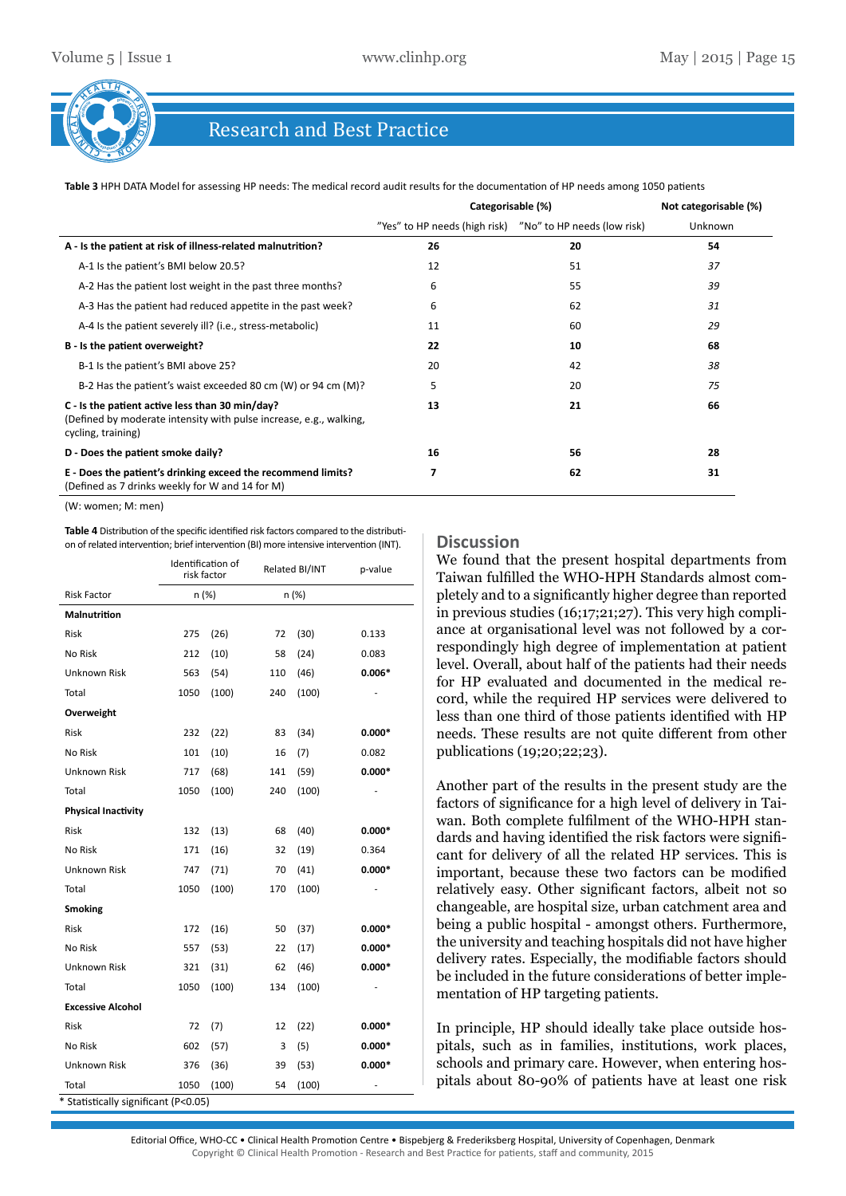

**Table 3** HPH DATA Model for assessing HP needs: The medical record audit results for the documentation of HP needs among 1050 patients

|                                                                                                                                             | Categorisable (%) |    | Not categorisable (%) |
|---------------------------------------------------------------------------------------------------------------------------------------------|-------------------|----|-----------------------|
|                                                                                                                                             |                   |    | Unknown               |
| A - Is the patient at risk of illness-related malnutrition?                                                                                 | 26                | 20 | 54                    |
| A-1 Is the patient's BMI below 20.5?                                                                                                        | 12                | 51 | 37                    |
| A-2 Has the patient lost weight in the past three months?                                                                                   | 6                 | 55 | 39                    |
| A-3 Has the patient had reduced appetite in the past week?                                                                                  | 6                 | 62 | 31                    |
| A-4 Is the patient severely ill? (i.e., stress-metabolic)                                                                                   | 11                | 60 | 29                    |
| B - Is the patient overweight?                                                                                                              | 22                | 10 | 68                    |
| B-1 Is the patient's BMI above 25?                                                                                                          | 20                | 42 | 38                    |
| B-2 Has the patient's waist exceeded 80 cm (W) or 94 cm (M)?                                                                                | 5                 | 20 | 75                    |
| C - Is the patient active less than 30 min/day?<br>(Defined by moderate intensity with pulse increase, e.g., walking,<br>cycling, training) | 13                | 21 | 66                    |
| D - Does the patient smoke daily?                                                                                                           | 16                | 56 | 28                    |
| E - Does the patient's drinking exceed the recommend limits?<br>(Defined as 7 drinks weekly for W and 14 for M)                             |                   | 62 | 31                    |

(W: women; M: men)

**Table 4** Distribution of the specific identified risk factors compared to the distribution of related intervention; brief intervention (BI) more intensive intervention (INT).

|                                      | Identification of<br>risk factor |       |     | Related BI/INT | p-value  |
|--------------------------------------|----------------------------------|-------|-----|----------------|----------|
| <b>Risk Factor</b>                   | n (%)                            |       |     | n (%)          |          |
| <b>Malnutrition</b>                  |                                  |       |     |                |          |
| Risk                                 | 275                              | (26)  | 72  | (30)           | 0.133    |
| No Risk                              | 212                              | (10)  | 58  | (24)           | 0.083    |
| Unknown Risk                         | 563                              | (54)  | 110 | (46)           | $0.006*$ |
| Total                                | 1050                             | (100) | 240 | (100)          |          |
| Overweight                           |                                  |       |     |                |          |
| <b>Risk</b>                          | 232                              | (22)  | 83  | (34)           | $0.000*$ |
| No Risk                              | 101                              | (10)  | 16  | (7)            | 0.082    |
| Unknown Risk                         | 717                              | (68)  | 141 | (59)           | $0.000*$ |
| Total                                | 1050                             | (100) | 240 | (100)          |          |
| <b>Physical Inactivity</b>           |                                  |       |     |                |          |
| <b>Risk</b>                          | 132                              | (13)  | 68  | (40)           | $0.000*$ |
| No Risk                              | 171                              | (16)  | 32  | (19)           | 0.364    |
| Unknown Risk                         | 747                              | (71)  | 70  | (41)           | $0.000*$ |
| Total                                | 1050                             | (100) | 170 | (100)          |          |
| <b>Smoking</b>                       |                                  |       |     |                |          |
| Risk                                 | 172                              | (16)  | 50  | (37)           | $0.000*$ |
| No Risk                              | 557                              | (53)  | 22  | (17)           | $0.000*$ |
| Unknown Risk                         | 321                              | (31)  | 62  | (46)           | $0.000*$ |
| Total                                | 1050                             | (100) | 134 | (100)          |          |
| <b>Excessive Alcohol</b>             |                                  |       |     |                |          |
| <b>Risk</b>                          | 72                               | (7)   | 12  | (22)           | $0.000*$ |
| No Risk                              | 602                              | (57)  | 3   | (5)            | $0.000*$ |
| Unknown Risk                         | 376                              | (36)  | 39  | (53)           | $0.000*$ |
| Total                                | 1050                             | (100) | 54  | (100)          |          |
| * Statistically significant (P<0.05) |                                  |       |     |                |          |

#### **Discussion**

We found that the present hospital departments from Taiwan fulfilled the WHO-HPH Standards almost completely and to a significantly higher degree than reported in previous studies (16;17;21;27). This very high compliance at organisational level was not followed by a correspondingly high degree of implementation at patient level. Overall, about half of the patients had their needs for HP evaluated and documented in the medical record, while the required HP services were delivered to less than one third of those patients identified with HP needs. These results are not quite different from other publications (19;20;22;23).

Another part of the results in the present study are the factors of significance for a high level of delivery in Taiwan. Both complete fulfilment of the WHO-HPH standards and having identified the risk factors were significant for delivery of all the related HP services. This is important, because these two factors can be modified relatively easy. Other significant factors, albeit not so changeable, are hospital size, urban catchment area and being a public hospital - amongst others. Furthermore, the university and teaching hospitals did not have higher delivery rates. Especially, the modifiable factors should be included in the future considerations of better implementation of HP targeting patients.

In principle, HP should ideally take place outside hospitals, such as in families, institutions, work places, schools and primary care. However, when entering hospitals about 80-90% of patients have at least one risk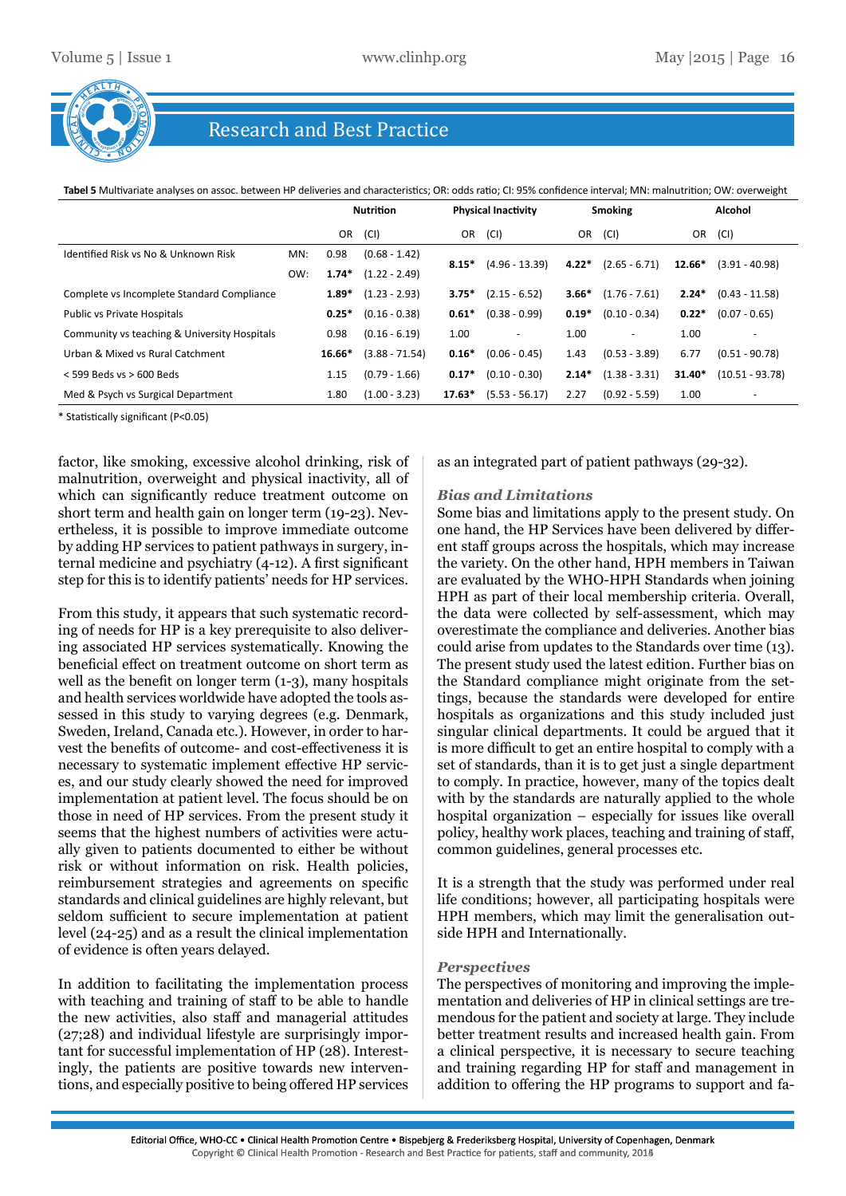

| Volume 5   Issue 1                                                                                                                                                                                                                                                                                                                                                                                                                                                                                                                                                                                                                                                                                                                                                                                                                                                                                                                                                                                                                                                                                                                                                                                                                                                                                                                                                                                                                                                                                                                                                                                                                                                                                                                                                                                                                                                                                                                                                                                                                                                                                                                                                                                                                                                                                                                                                                                                                                                                                                                                                                                                                                                                                                                                                                                                                                                                                                                                                                                                                                                                                                                                                                                                                                                                                                                                                                                                                                                                                                                                                                                                                                                                                                                                                                                                                                                                                                                                                                                                                                                                                                                                                                                                                                                            |         | www.clinhp.org   |          |                            |         |                 |         | May $ 2015 $ Page 16 |  |  |  |
|-------------------------------------------------------------------------------------------------------------------------------------------------------------------------------------------------------------------------------------------------------------------------------------------------------------------------------------------------------------------------------------------------------------------------------------------------------------------------------------------------------------------------------------------------------------------------------------------------------------------------------------------------------------------------------------------------------------------------------------------------------------------------------------------------------------------------------------------------------------------------------------------------------------------------------------------------------------------------------------------------------------------------------------------------------------------------------------------------------------------------------------------------------------------------------------------------------------------------------------------------------------------------------------------------------------------------------------------------------------------------------------------------------------------------------------------------------------------------------------------------------------------------------------------------------------------------------------------------------------------------------------------------------------------------------------------------------------------------------------------------------------------------------------------------------------------------------------------------------------------------------------------------------------------------------------------------------------------------------------------------------------------------------------------------------------------------------------------------------------------------------------------------------------------------------------------------------------------------------------------------------------------------------------------------------------------------------------------------------------------------------------------------------------------------------------------------------------------------------------------------------------------------------------------------------------------------------------------------------------------------------------------------------------------------------------------------------------------------------------------------------------------------------------------------------------------------------------------------------------------------------------------------------------------------------------------------------------------------------------------------------------------------------------------------------------------------------------------------------------------------------------------------------------------------------------------------------------------------------------------------------------------------------------------------------------------------------------------------------------------------------------------------------------------------------------------------------------------------------------------------------------------------------------------------------------------------------------------------------------------------------------------------------------------------------------------------------------------------------------------------------------------------------------------------------------------------------------------------------------------------------------------------------------------------------------------------------------------------------------------------------------------------------------------------------------------------------------------------------------------------------------------------------------------------------------------------------------------------------------------------------------------------------|---------|------------------|----------|----------------------------|---------|-----------------|---------|----------------------|--|--|--|
|                                                                                                                                                                                                                                                                                                                                                                                                                                                                                                                                                                                                                                                                                                                                                                                                                                                                                                                                                                                                                                                                                                                                                                                                                                                                                                                                                                                                                                                                                                                                                                                                                                                                                                                                                                                                                                                                                                                                                                                                                                                                                                                                                                                                                                                                                                                                                                                                                                                                                                                                                                                                                                                                                                                                                                                                                                                                                                                                                                                                                                                                                                                                                                                                                                                                                                                                                                                                                                                                                                                                                                                                                                                                                                                                                                                                                                                                                                                                                                                                                                                                                                                                                                                                                                                                               |         |                  |          |                            |         |                 |         |                      |  |  |  |
|                                                                                                                                                                                                                                                                                                                                                                                                                                                                                                                                                                                                                                                                                                                                                                                                                                                                                                                                                                                                                                                                                                                                                                                                                                                                                                                                                                                                                                                                                                                                                                                                                                                                                                                                                                                                                                                                                                                                                                                                                                                                                                                                                                                                                                                                                                                                                                                                                                                                                                                                                                                                                                                                                                                                                                                                                                                                                                                                                                                                                                                                                                                                                                                                                                                                                                                                                                                                                                                                                                                                                                                                                                                                                                                                                                                                                                                                                                                                                                                                                                                                                                                                                                                                                                                                               |         |                  |          |                            |         |                 |         |                      |  |  |  |
| <b>Research and Best Practice</b>                                                                                                                                                                                                                                                                                                                                                                                                                                                                                                                                                                                                                                                                                                                                                                                                                                                                                                                                                                                                                                                                                                                                                                                                                                                                                                                                                                                                                                                                                                                                                                                                                                                                                                                                                                                                                                                                                                                                                                                                                                                                                                                                                                                                                                                                                                                                                                                                                                                                                                                                                                                                                                                                                                                                                                                                                                                                                                                                                                                                                                                                                                                                                                                                                                                                                                                                                                                                                                                                                                                                                                                                                                                                                                                                                                                                                                                                                                                                                                                                                                                                                                                                                                                                                                             |         |                  |          |                            |         |                 |         |                      |  |  |  |
|                                                                                                                                                                                                                                                                                                                                                                                                                                                                                                                                                                                                                                                                                                                                                                                                                                                                                                                                                                                                                                                                                                                                                                                                                                                                                                                                                                                                                                                                                                                                                                                                                                                                                                                                                                                                                                                                                                                                                                                                                                                                                                                                                                                                                                                                                                                                                                                                                                                                                                                                                                                                                                                                                                                                                                                                                                                                                                                                                                                                                                                                                                                                                                                                                                                                                                                                                                                                                                                                                                                                                                                                                                                                                                                                                                                                                                                                                                                                                                                                                                                                                                                                                                                                                                                                               |         |                  |          |                            |         |                 |         |                      |  |  |  |
|                                                                                                                                                                                                                                                                                                                                                                                                                                                                                                                                                                                                                                                                                                                                                                                                                                                                                                                                                                                                                                                                                                                                                                                                                                                                                                                                                                                                                                                                                                                                                                                                                                                                                                                                                                                                                                                                                                                                                                                                                                                                                                                                                                                                                                                                                                                                                                                                                                                                                                                                                                                                                                                                                                                                                                                                                                                                                                                                                                                                                                                                                                                                                                                                                                                                                                                                                                                                                                                                                                                                                                                                                                                                                                                                                                                                                                                                                                                                                                                                                                                                                                                                                                                                                                                                               |         |                  |          |                            |         |                 |         |                      |  |  |  |
| Tabel 5 Multivariate analyses on assoc. between HP deliveries and characteristics; OR: odds ratio; CI: 95% confidence interval; MN: malnutrition; OW: overweight                                                                                                                                                                                                                                                                                                                                                                                                                                                                                                                                                                                                                                                                                                                                                                                                                                                                                                                                                                                                                                                                                                                                                                                                                                                                                                                                                                                                                                                                                                                                                                                                                                                                                                                                                                                                                                                                                                                                                                                                                                                                                                                                                                                                                                                                                                                                                                                                                                                                                                                                                                                                                                                                                                                                                                                                                                                                                                                                                                                                                                                                                                                                                                                                                                                                                                                                                                                                                                                                                                                                                                                                                                                                                                                                                                                                                                                                                                                                                                                                                                                                                                              |         | <b>Nutrition</b> |          | <b>Physical Inactivity</b> |         | Smoking         |         | Alcohol              |  |  |  |
|                                                                                                                                                                                                                                                                                                                                                                                                                                                                                                                                                                                                                                                                                                                                                                                                                                                                                                                                                                                                                                                                                                                                                                                                                                                                                                                                                                                                                                                                                                                                                                                                                                                                                                                                                                                                                                                                                                                                                                                                                                                                                                                                                                                                                                                                                                                                                                                                                                                                                                                                                                                                                                                                                                                                                                                                                                                                                                                                                                                                                                                                                                                                                                                                                                                                                                                                                                                                                                                                                                                                                                                                                                                                                                                                                                                                                                                                                                                                                                                                                                                                                                                                                                                                                                                                               | OR      | (CI)             |          | OR (CI)                    | OR (CI) |                 |         |                      |  |  |  |
| Identified Risk vs No & Unknown Risk<br>MN:                                                                                                                                                                                                                                                                                                                                                                                                                                                                                                                                                                                                                                                                                                                                                                                                                                                                                                                                                                                                                                                                                                                                                                                                                                                                                                                                                                                                                                                                                                                                                                                                                                                                                                                                                                                                                                                                                                                                                                                                                                                                                                                                                                                                                                                                                                                                                                                                                                                                                                                                                                                                                                                                                                                                                                                                                                                                                                                                                                                                                                                                                                                                                                                                                                                                                                                                                                                                                                                                                                                                                                                                                                                                                                                                                                                                                                                                                                                                                                                                                                                                                                                                                                                                                                   | 0.98    | $(0.68 - 1.42)$  |          |                            |         |                 | OR      | (CI)                 |  |  |  |
| OW:                                                                                                                                                                                                                                                                                                                                                                                                                                                                                                                                                                                                                                                                                                                                                                                                                                                                                                                                                                                                                                                                                                                                                                                                                                                                                                                                                                                                                                                                                                                                                                                                                                                                                                                                                                                                                                                                                                                                                                                                                                                                                                                                                                                                                                                                                                                                                                                                                                                                                                                                                                                                                                                                                                                                                                                                                                                                                                                                                                                                                                                                                                                                                                                                                                                                                                                                                                                                                                                                                                                                                                                                                                                                                                                                                                                                                                                                                                                                                                                                                                                                                                                                                                                                                                                                           | $1.74*$ | $(1.22 - 2.49)$  | $8.15*$  | $(4.96 - 13.39)$           | $4.22*$ | $(2.65 - 6.71)$ | 12.66*  | $(3.91 - 40.98)$     |  |  |  |
| Complete vs Incomplete Standard Compliance                                                                                                                                                                                                                                                                                                                                                                                                                                                                                                                                                                                                                                                                                                                                                                                                                                                                                                                                                                                                                                                                                                                                                                                                                                                                                                                                                                                                                                                                                                                                                                                                                                                                                                                                                                                                                                                                                                                                                                                                                                                                                                                                                                                                                                                                                                                                                                                                                                                                                                                                                                                                                                                                                                                                                                                                                                                                                                                                                                                                                                                                                                                                                                                                                                                                                                                                                                                                                                                                                                                                                                                                                                                                                                                                                                                                                                                                                                                                                                                                                                                                                                                                                                                                                                    | $1.89*$ | $(1.23 - 2.93)$  | $3.75*$  | $(2.15 - 6.52)$            | $3.66*$ | $(1.76 - 7.61)$ | $2.24*$ | $(0.43 - 11.58)$     |  |  |  |
| Public vs Private Hospitals                                                                                                                                                                                                                                                                                                                                                                                                                                                                                                                                                                                                                                                                                                                                                                                                                                                                                                                                                                                                                                                                                                                                                                                                                                                                                                                                                                                                                                                                                                                                                                                                                                                                                                                                                                                                                                                                                                                                                                                                                                                                                                                                                                                                                                                                                                                                                                                                                                                                                                                                                                                                                                                                                                                                                                                                                                                                                                                                                                                                                                                                                                                                                                                                                                                                                                                                                                                                                                                                                                                                                                                                                                                                                                                                                                                                                                                                                                                                                                                                                                                                                                                                                                                                                                                   | $0.25*$ | $(0.16 - 0.38)$  | $0.61*$  | $(0.38 - 0.99)$            | $0.19*$ | $(0.10 - 0.34)$ | $0.22*$ | $(0.07 - 0.65)$      |  |  |  |
| Community vs teaching & University Hospitals                                                                                                                                                                                                                                                                                                                                                                                                                                                                                                                                                                                                                                                                                                                                                                                                                                                                                                                                                                                                                                                                                                                                                                                                                                                                                                                                                                                                                                                                                                                                                                                                                                                                                                                                                                                                                                                                                                                                                                                                                                                                                                                                                                                                                                                                                                                                                                                                                                                                                                                                                                                                                                                                                                                                                                                                                                                                                                                                                                                                                                                                                                                                                                                                                                                                                                                                                                                                                                                                                                                                                                                                                                                                                                                                                                                                                                                                                                                                                                                                                                                                                                                                                                                                                                  | 0.98    | $(0.16 - 6.19)$  | 1.00     |                            | 1.00    |                 | 1.00    |                      |  |  |  |
| Urban & Mixed vs Rural Catchment                                                                                                                                                                                                                                                                                                                                                                                                                                                                                                                                                                                                                                                                                                                                                                                                                                                                                                                                                                                                                                                                                                                                                                                                                                                                                                                                                                                                                                                                                                                                                                                                                                                                                                                                                                                                                                                                                                                                                                                                                                                                                                                                                                                                                                                                                                                                                                                                                                                                                                                                                                                                                                                                                                                                                                                                                                                                                                                                                                                                                                                                                                                                                                                                                                                                                                                                                                                                                                                                                                                                                                                                                                                                                                                                                                                                                                                                                                                                                                                                                                                                                                                                                                                                                                              | 16.66*  | $(3.88 - 71.54)$ | $0.16*$  | $(0.06 - 0.45)$            | 1.43    | $(0.53 - 3.89)$ | 6.77    | $(0.51 - 90.78)$     |  |  |  |
| < 599 Beds vs > 600 Beds                                                                                                                                                                                                                                                                                                                                                                                                                                                                                                                                                                                                                                                                                                                                                                                                                                                                                                                                                                                                                                                                                                                                                                                                                                                                                                                                                                                                                                                                                                                                                                                                                                                                                                                                                                                                                                                                                                                                                                                                                                                                                                                                                                                                                                                                                                                                                                                                                                                                                                                                                                                                                                                                                                                                                                                                                                                                                                                                                                                                                                                                                                                                                                                                                                                                                                                                                                                                                                                                                                                                                                                                                                                                                                                                                                                                                                                                                                                                                                                                                                                                                                                                                                                                                                                      | 1.15    | $(0.79 - 1.66)$  | $0.17*$  | $(0.10 - 0.30)$            | $2.14*$ | $(1.38 - 3.31)$ | 31.40*  | $(10.51 - 93.78)$    |  |  |  |
| Med & Psych vs Surgical Department                                                                                                                                                                                                                                                                                                                                                                                                                                                                                                                                                                                                                                                                                                                                                                                                                                                                                                                                                                                                                                                                                                                                                                                                                                                                                                                                                                                                                                                                                                                                                                                                                                                                                                                                                                                                                                                                                                                                                                                                                                                                                                                                                                                                                                                                                                                                                                                                                                                                                                                                                                                                                                                                                                                                                                                                                                                                                                                                                                                                                                                                                                                                                                                                                                                                                                                                                                                                                                                                                                                                                                                                                                                                                                                                                                                                                                                                                                                                                                                                                                                                                                                                                                                                                                            | 1.80    | $(1.00 - 3.23)$  | $17.63*$ | $(5.53 - 56.17)$           | 2.27    | $(0.92 - 5.59)$ | 1.00    |                      |  |  |  |
| * Statistically significant (P<0.05)                                                                                                                                                                                                                                                                                                                                                                                                                                                                                                                                                                                                                                                                                                                                                                                                                                                                                                                                                                                                                                                                                                                                                                                                                                                                                                                                                                                                                                                                                                                                                                                                                                                                                                                                                                                                                                                                                                                                                                                                                                                                                                                                                                                                                                                                                                                                                                                                                                                                                                                                                                                                                                                                                                                                                                                                                                                                                                                                                                                                                                                                                                                                                                                                                                                                                                                                                                                                                                                                                                                                                                                                                                                                                                                                                                                                                                                                                                                                                                                                                                                                                                                                                                                                                                          |         |                  |          |                            |         |                 |         |                      |  |  |  |
| factor, like smoking, excessive alcohol drinking, risk of<br>as an integrated part of patient pathways (29-32).<br>malnutrition, overweight and physical inactivity, all of<br>which can significantly reduce treatment outcome on<br><b>Bias and Limitations</b><br>short term and health gain on longer term (19-23). Nev-<br>Some bias and limitations apply to the present study. On<br>ertheless, it is possible to improve immediate outcome<br>one hand, the HP Services have been delivered by differ-<br>by adding HP services to patient pathways in surgery, in-<br>ent staff groups across the hospitals, which may increase<br>ternal medicine and psychiatry (4-12). A first significant<br>the variety. On the other hand, HPH members in Taiwan<br>step for this is to identify patients' needs for HP services.<br>are evaluated by the WHO-HPH Standards when joining<br>HPH as part of their local membership criteria. Overall,<br>the data were collected by self-assessment, which may<br>From this study, it appears that such systematic record-<br>ing of needs for HP is a key prerequisite to also deliver-<br>overestimate the compliance and deliveries. Another bias<br>ing associated HP services systematically. Knowing the<br>could arise from updates to the Standards over time (13).<br>beneficial effect on treatment outcome on short term as<br>The present study used the latest edition. Further bias on<br>well as the benefit on longer term $(1-3)$ , many hospitals<br>the Standard compliance might originate from the set-<br>and health services worldwide have adopted the tools as-<br>tings, because the standards were developed for entire<br>sessed in this study to varying degrees (e.g. Denmark,<br>hospitals as organizations and this study included just<br>Sweden, Ireland, Canada etc.). However, in order to har-<br>singular clinical departments. It could be argued that it<br>vest the benefits of outcome- and cost-effectiveness it is<br>is more difficult to get an entire hospital to comply with a<br>necessary to systematic implement effective HP servic-<br>set of standards, than it is to get just a single department<br>es, and our study clearly showed the need for improved<br>to comply. In practice, however, many of the topics dealt<br>with by the standards are naturally applied to the whole<br>implementation at patient level. The focus should be on<br>those in need of HP services. From the present study it<br>hospital organization – especially for issues like overall<br>policy, healthy work places, teaching and training of staff,<br>seems that the highest numbers of activities were actu-<br>common guidelines, general processes etc.<br>ally given to patients documented to either be without<br>risk or without information on risk. Health policies,<br>reimbursement strategies and agreements on specific<br>It is a strength that the study was performed under real<br>standards and clinical guidelines are highly relevant, but<br>life conditions; however, all participating hospitals were<br>HPH members, which may limit the generalisation out-<br>seldom sufficient to secure implementation at patient<br>level (24-25) and as a result the clinical implementation<br>side HPH and Internationally.<br>of evidence is often years delayed.<br><b>Perspectives</b><br>The perspectives of monitoring and improving the imple-<br>In addition to facilitating the implementation process<br>with teaching and training of staff to be able to handle<br>mentation and deliveries of HP in clinical settings are tre-<br>the new activities, also staff and managerial attitudes<br>mendous for the patient and society at large. They include<br>better treatment results and increased health gain. From<br>(27;28) and individual lifestyle are surprisingly impor-<br>tant for successful implementation of HP (28). Interest-<br>a clinical perspective, it is necessary to secure teaching<br>and training regarding HP for staff and management in<br>ingly, the patients are positive towards new interven-<br>tions, and especially positive to being offered HP services<br>addition to offering the HP programs to support and fa- |         |                  |          |                            |         |                 |         |                      |  |  |  |
| Editorial Office, WHO-CC • Clinical Health Promotion Centre • Bispebjerg & Frederiksberg Hospital, University of Copenhagen, Denmark<br>Copyright © Clinical Health Promotion - Research and Best Practice for patients, staff and community, 2018                                                                                                                                                                                                                                                                                                                                                                                                                                                                                                                                                                                                                                                                                                                                                                                                                                                                                                                                                                                                                                                                                                                                                                                                                                                                                                                                                                                                                                                                                                                                                                                                                                                                                                                                                                                                                                                                                                                                                                                                                                                                                                                                                                                                                                                                                                                                                                                                                                                                                                                                                                                                                                                                                                                                                                                                                                                                                                                                                                                                                                                                                                                                                                                                                                                                                                                                                                                                                                                                                                                                                                                                                                                                                                                                                                                                                                                                                                                                                                                                                            |         |                  |          |                            |         |                 |         |                      |  |  |  |

#### *Bias and Limitations*

#### *Perspectives*